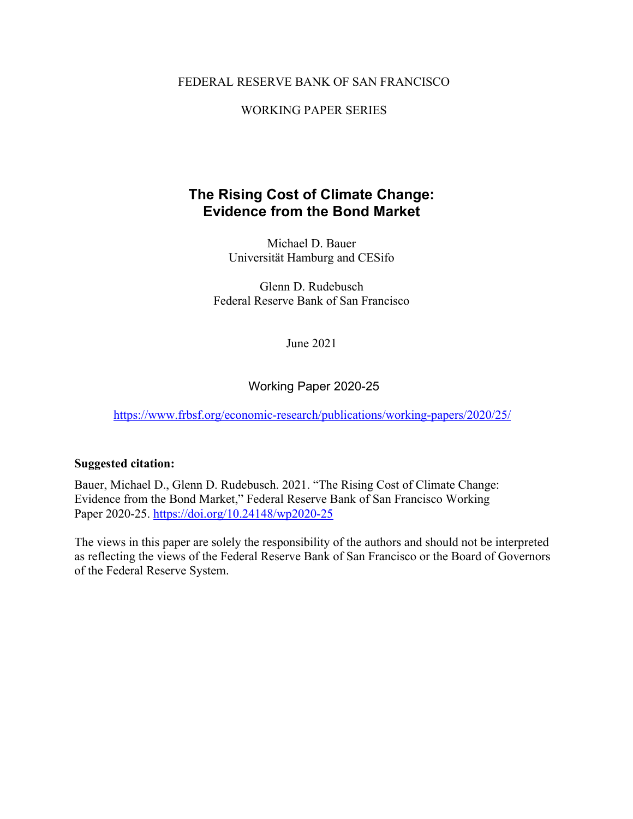#### FEDERAL RESERVE BANK OF SAN FRANCISCO

#### WORKING PAPER SERIES

## **The Rising Cost of Climate Change: Evidence from the Bond Market**

Michael D. Bauer Universität Hamburg and CESifo

Glenn D. Rudebusch Federal Reserve Bank of San Francisco

June 2021

Working Paper 2020-25

<https://www.frbsf.org/economic-research/publications/working-papers/2020/25/>

#### **Suggested citation:**

Bauer, Michael D., Glenn D. Rudebusch. 2021. "The Rising Cost of Climate Change: Evidence from the Bond Market," Federal Reserve Bank of San Francisco Working Paper 2020-25. https://doi.org/10.24148/wp2020-25

The views in this paper are solely the responsibility of the authors and should not be interpreted as reflecting the views of the Federal Reserve Bank of San Francisco or the Board of Governors of the Federal Reserve System.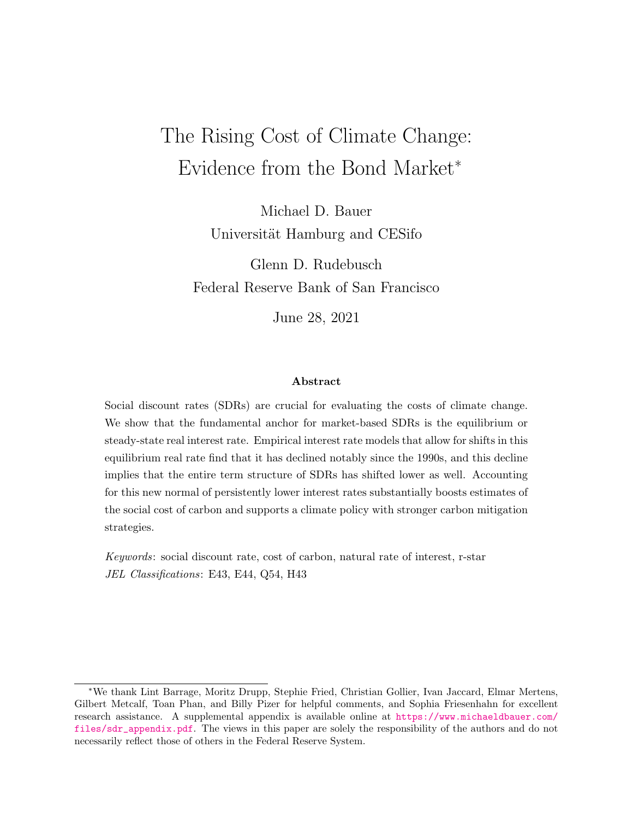# The Rising Cost of Climate Change: Evidence from the Bond Market<sup>∗</sup>

Michael D. Bauer Universität Hamburg and CESifo

Glenn D. Rudebusch Federal Reserve Bank of San Francisco

June 28, 2021

#### Abstract

Social discount rates (SDRs) are crucial for evaluating the costs of climate change. We show that the fundamental anchor for market-based SDRs is the equilibrium or steady-state real interest rate. Empirical interest rate models that allow for shifts in this equilibrium real rate find that it has declined notably since the 1990s, and this decline implies that the entire term structure of SDRs has shifted lower as well. Accounting for this new normal of persistently lower interest rates substantially boosts estimates of the social cost of carbon and supports a climate policy with stronger carbon mitigation strategies.

Keywords: social discount rate, cost of carbon, natural rate of interest, r-star JEL Classifications: E43, E44, Q54, H43

<sup>∗</sup>We thank Lint Barrage, Moritz Drupp, Stephie Fried, Christian Gollier, Ivan Jaccard, Elmar Mertens, Gilbert Metcalf, Toan Phan, and Billy Pizer for helpful comments, and Sophia Friesenhahn for excellent research assistance. A supplemental appendix is available online at [https://www.michaeldbauer.com/](https://www.michaeldbauer.com/files/sdr_appendix.pdf) [files/sdr\\_appendix.pdf](https://www.michaeldbauer.com/files/sdr_appendix.pdf). The views in this paper are solely the responsibility of the authors and do not necessarily reflect those of others in the Federal Reserve System.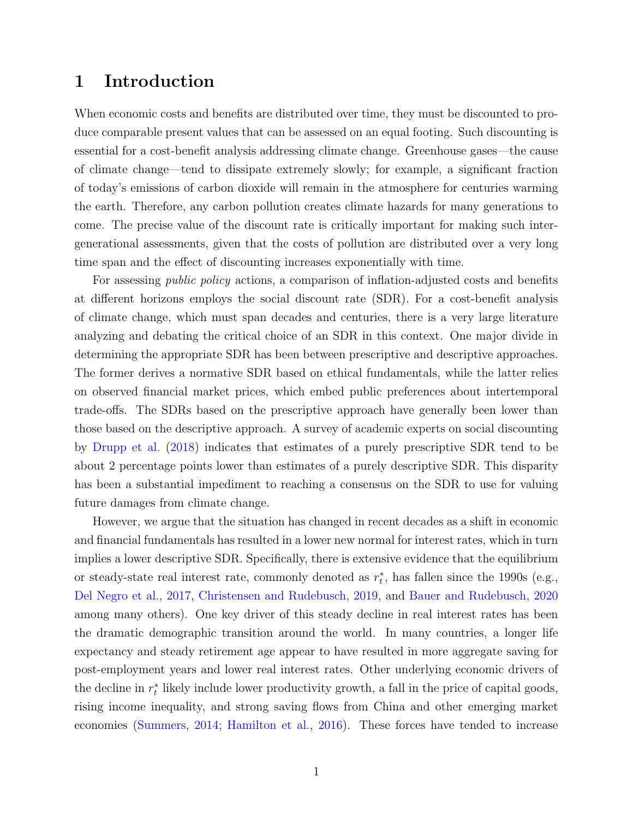### 1 Introduction

When economic costs and benefits are distributed over time, they must be discounted to produce comparable present values that can be assessed on an equal footing. Such discounting is essential for a cost-benefit analysis addressing climate change. Greenhouse gases—the cause of climate change—tend to dissipate extremely slowly; for example, a significant fraction of today's emissions of carbon dioxide will remain in the atmosphere for centuries warming the earth. Therefore, any carbon pollution creates climate hazards for many generations to come. The precise value of the discount rate is critically important for making such intergenerational assessments, given that the costs of pollution are distributed over a very long time span and the effect of discounting increases exponentially with time.

For assessing *public policy* actions, a comparison of inflation-adjusted costs and benefits at different horizons employs the social discount rate (SDR). For a cost-benefit analysis of climate change, which must span decades and centuries, there is a very large literature analyzing and debating the critical choice of an SDR in this context. One major divide in determining the appropriate SDR has been between prescriptive and descriptive approaches. The former derives a normative SDR based on ethical fundamentals, while the latter relies on observed financial market prices, which embed public preferences about intertemporal trade-offs. The SDRs based on the prescriptive approach have generally been lower than those based on the descriptive approach. A survey of academic experts on social discounting by [Drupp et al.](#page-31-0) [\(2018\)](#page-31-0) indicates that estimates of a purely prescriptive SDR tend to be about 2 percentage points lower than estimates of a purely descriptive SDR. This disparity has been a substantial impediment to reaching a consensus on the SDR to use for valuing future damages from climate change.

However, we argue that the situation has changed in recent decades as a shift in economic and financial fundamentals has resulted in a lower new normal for interest rates, which in turn implies a lower descriptive SDR. Specifically, there is extensive evidence that the equilibrium or steady-state real interest rate, commonly denoted as  $r_t^*$ , has fallen since the 1990s (e.g., [Del Negro et al.,](#page-30-0) [2017,](#page-30-0) [Christensen and Rudebusch,](#page-30-1) [2019,](#page-30-1) and [Bauer and Rudebusch,](#page-29-0) [2020](#page-29-0) among many others). One key driver of this steady decline in real interest rates has been the dramatic demographic transition around the world. In many countries, a longer life expectancy and steady retirement age appear to have resulted in more aggregate saving for post-employment years and lower real interest rates. Other underlying economic drivers of the decline in  $r_t^*$  likely include lower productivity growth, a fall in the price of capital goods, rising income inequality, and strong saving flows from China and other emerging market economies [\(Summers,](#page-34-0) [2014;](#page-34-0) [Hamilton et al.,](#page-32-0) [2016\)](#page-32-0). These forces have tended to increase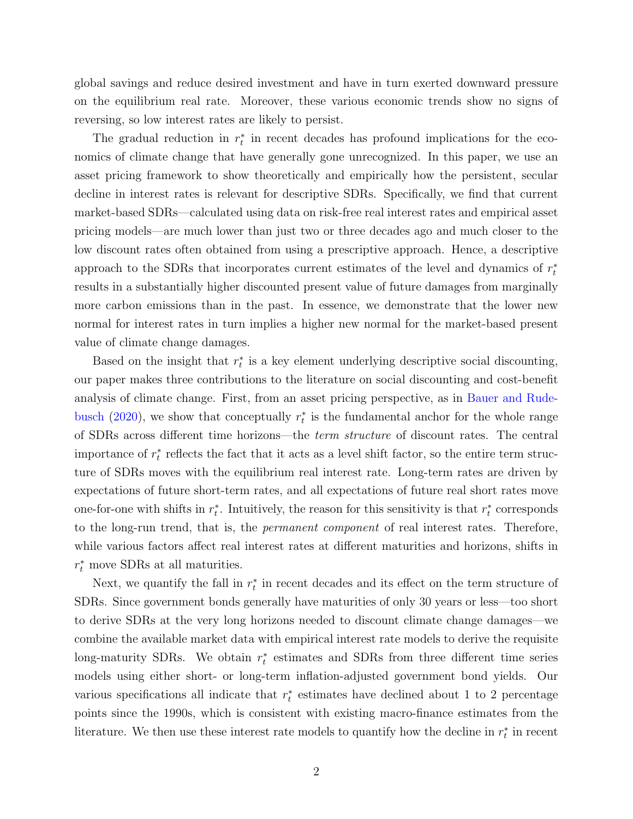global savings and reduce desired investment and have in turn exerted downward pressure on the equilibrium real rate. Moreover, these various economic trends show no signs of reversing, so low interest rates are likely to persist.

The gradual reduction in  $r_t^*$  in recent decades has profound implications for the economics of climate change that have generally gone unrecognized. In this paper, we use an asset pricing framework to show theoretically and empirically how the persistent, secular decline in interest rates is relevant for descriptive SDRs. Specifically, we find that current market-based SDRs—calculated using data on risk-free real interest rates and empirical asset pricing models—are much lower than just two or three decades ago and much closer to the low discount rates often obtained from using a prescriptive approach. Hence, a descriptive approach to the SDRs that incorporates current estimates of the level and dynamics of  $r_t^*$ results in a substantially higher discounted present value of future damages from marginally more carbon emissions than in the past. In essence, we demonstrate that the lower new normal for interest rates in turn implies a higher new normal for the market-based present value of climate change damages.

Based on the insight that  $r_t^*$  is a key element underlying descriptive social discounting, our paper makes three contributions to the literature on social discounting and cost-benefit analysis of climate change. First, from an asset pricing perspective, as in [Bauer and Rude](#page-29-0)[busch](#page-29-0) [\(2020\)](#page-29-0), we show that conceptually  $r_t^*$  is the fundamental anchor for the whole range of SDRs across different time horizons—the term structure of discount rates. The central importance of  $r_t^*$  reflects the fact that it acts as a level shift factor, so the entire term structure of SDRs moves with the equilibrium real interest rate. Long-term rates are driven by expectations of future short-term rates, and all expectations of future real short rates move one-for-one with shifts in  $r_t^*$ . Intuitively, the reason for this sensitivity is that  $r_t^*$  corresponds to the long-run trend, that is, the permanent component of real interest rates. Therefore, while various factors affect real interest rates at different maturities and horizons, shifts in  $r_t^*$  move SDRs at all maturities.

Next, we quantify the fall in  $r_t^*$  in recent decades and its effect on the term structure of SDRs. Since government bonds generally have maturities of only 30 years or less—too short to derive SDRs at the very long horizons needed to discount climate change damages—we combine the available market data with empirical interest rate models to derive the requisite long-maturity SDRs. We obtain  $r_t^*$  estimates and SDRs from three different time series models using either short- or long-term inflation-adjusted government bond yields. Our various specifications all indicate that  $r_t^*$  estimates have declined about 1 to 2 percentage points since the 1990s, which is consistent with existing macro-finance estimates from the literature. We then use these interest rate models to quantify how the decline in  $r_t^*$  in recent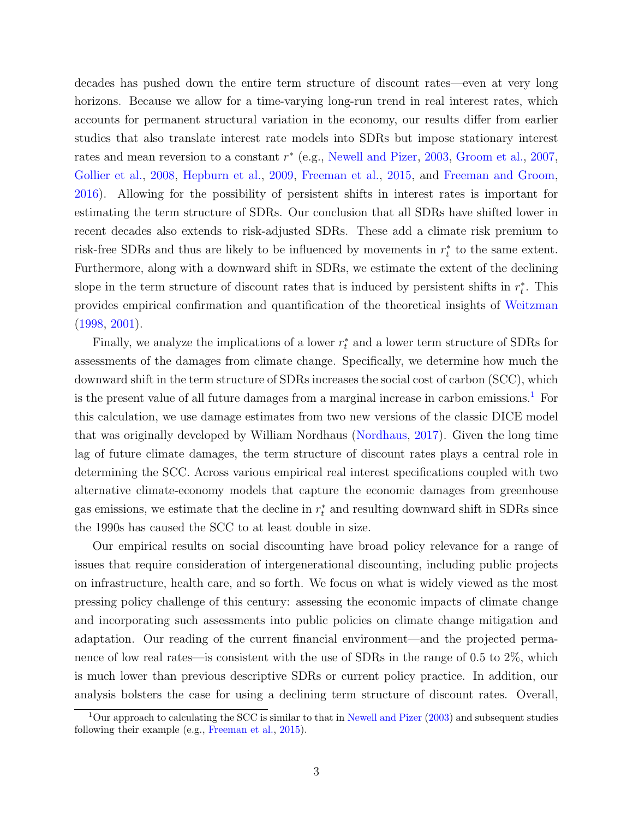decades has pushed down the entire term structure of discount rates—even at very long horizons. Because we allow for a time-varying long-run trend in real interest rates, which accounts for permanent structural variation in the economy, our results differ from earlier studies that also translate interest rate models into SDRs but impose stationary interest rates and mean reversion to a constant  $r^*$  (e.g., [Newell and Pizer,](#page-33-0) [2003,](#page-33-0) [Groom et al.,](#page-32-1) [2007,](#page-32-1) [Gollier et al.,](#page-32-2) [2008,](#page-32-2) [Hepburn et al.,](#page-32-3) [2009,](#page-32-3) [Freeman et al.,](#page-31-1) [2015,](#page-31-1) and [Freeman and Groom,](#page-31-2) [2016\)](#page-31-2). Allowing for the possibility of persistent shifts in interest rates is important for estimating the term structure of SDRs. Our conclusion that all SDRs have shifted lower in recent decades also extends to risk-adjusted SDRs. These add a climate risk premium to risk-free SDRs and thus are likely to be influenced by movements in  $r_t^*$  to the same extent. Furthermore, along with a downward shift in SDRs, we estimate the extent of the declining slope in the term structure of discount rates that is induced by persistent shifts in  $r_t^*$ . This provides empirical confirmation and quantification of the theoretical insights of [Weitzman](#page-35-0) [\(1998,](#page-35-0) [2001\)](#page-35-1).

Finally, we analyze the implications of a lower  $r_t^*$  and a lower term structure of SDRs for assessments of the damages from climate change. Specifically, we determine how much the downward shift in the term structure of SDRs increases the social cost of carbon (SCC), which is the present value of all future damages from a marginal increase in carbon emissions.<sup>[1](#page-4-0)</sup> For this calculation, we use damage estimates from two new versions of the classic DICE model that was originally developed by William Nordhaus [\(Nordhaus,](#page-34-1) [2017\)](#page-34-1). Given the long time lag of future climate damages, the term structure of discount rates plays a central role in determining the SCC. Across various empirical real interest specifications coupled with two alternative climate-economy models that capture the economic damages from greenhouse gas emissions, we estimate that the decline in  $r_t^*$  and resulting downward shift in SDRs since the 1990s has caused the SCC to at least double in size.

Our empirical results on social discounting have broad policy relevance for a range of issues that require consideration of intergenerational discounting, including public projects on infrastructure, health care, and so forth. We focus on what is widely viewed as the most pressing policy challenge of this century: assessing the economic impacts of climate change and incorporating such assessments into public policies on climate change mitigation and adaptation. Our reading of the current financial environment—and the projected permanence of low real rates—is consistent with the use of SDRs in the range of 0.5 to 2\%, which is much lower than previous descriptive SDRs or current policy practice. In addition, our analysis bolsters the case for using a declining term structure of discount rates. Overall,

<span id="page-4-0"></span><sup>&</sup>lt;sup>1</sup>Our approach to calculating the SCC is similar to that in [Newell and Pizer](#page-33-0) [\(2003\)](#page-33-0) and subsequent studies following their example (e.g., [Freeman et al.,](#page-31-1) [2015\)](#page-31-1).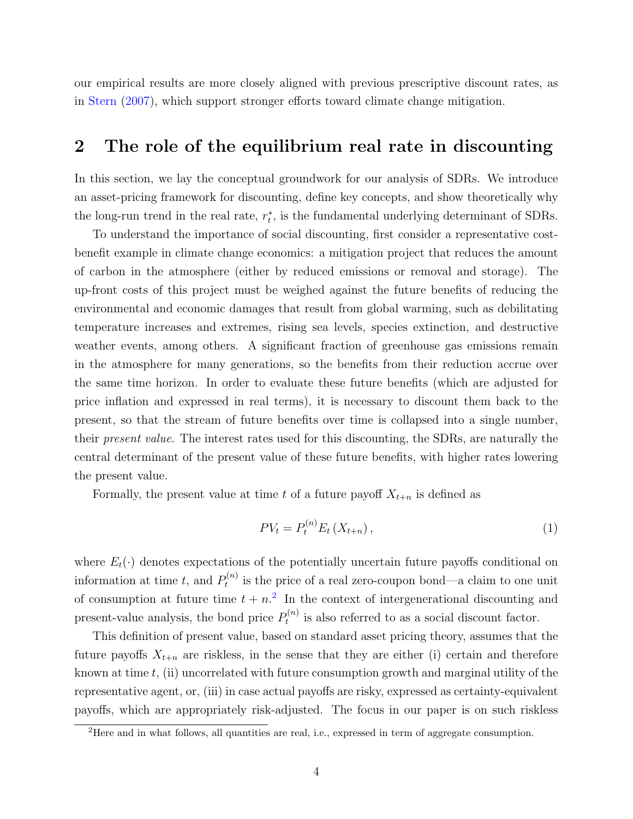our empirical results are more closely aligned with previous prescriptive discount rates, as in [Stern](#page-34-2) [\(2007\)](#page-34-2), which support stronger efforts toward climate change mitigation.

#### <span id="page-5-1"></span>2 The role of the equilibrium real rate in discounting

In this section, we lay the conceptual groundwork for our analysis of SDRs. We introduce an asset-pricing framework for discounting, define key concepts, and show theoretically why the long-run trend in the real rate,  $r_t^*$ , is the fundamental underlying determinant of SDRs.

To understand the importance of social discounting, first consider a representative costbenefit example in climate change economics: a mitigation project that reduces the amount of carbon in the atmosphere (either by reduced emissions or removal and storage). The up-front costs of this project must be weighed against the future benefits of reducing the environmental and economic damages that result from global warming, such as debilitating temperature increases and extremes, rising sea levels, species extinction, and destructive weather events, among others. A significant fraction of greenhouse gas emissions remain in the atmosphere for many generations, so the benefits from their reduction accrue over the same time horizon. In order to evaluate these future benefits (which are adjusted for price inflation and expressed in real terms), it is necessary to discount them back to the present, so that the stream of future benefits over time is collapsed into a single number, their present value. The interest rates used for this discounting, the SDRs, are naturally the central determinant of the present value of these future benefits, with higher rates lowering the present value.

Formally, the present value at time t of a future payoff  $X_{t+n}$  is defined as

$$
PV_{t} = P_{t}^{(n)} E_{t} \left( X_{t+n} \right), \tag{1}
$$

where  $E_t(\cdot)$  denotes expectations of the potentially uncertain future payoffs conditional on information at time t, and  $P_t^{(n)}$  $t_t^{(n)}$  is the price of a real zero-coupon bond—a claim to one unit of consumption at future time  $t + n<sup>2</sup>$  $t + n<sup>2</sup>$  $t + n<sup>2</sup>$ . In the context of intergenerational discounting and present-value analysis, the bond price  $P_t^{(n)}$  $t_t^{(n)}$  is also referred to as a social discount factor.

This definition of present value, based on standard asset pricing theory, assumes that the future payoffs  $X_{t+n}$  are riskless, in the sense that they are either (i) certain and therefore known at time  $t$ , (ii) uncorrelated with future consumption growth and marginal utility of the representative agent, or, (iii) in case actual payoffs are risky, expressed as certainty-equivalent payoffs, which are appropriately risk-adjusted. The focus in our paper is on such riskless

<span id="page-5-0"></span><sup>&</sup>lt;sup>2</sup>Here and in what follows, all quantities are real, i.e., expressed in term of aggregate consumption.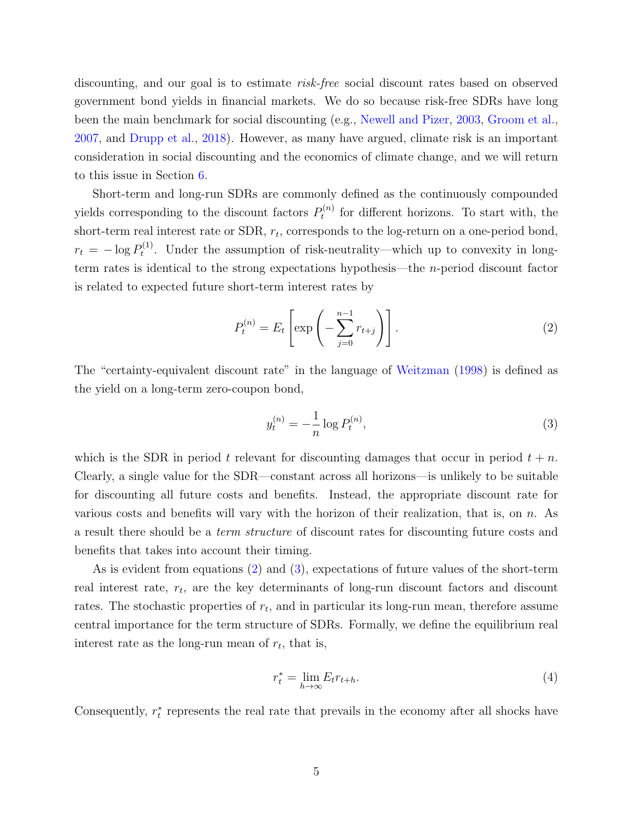discounting, and our goal is to estimate risk-free social discount rates based on observed government bond yields in financial markets. We do so because risk-free SDRs have long been the main benchmark for social discounting (e.g., [Newell and Pizer,](#page-33-0) [2003,](#page-33-0) [Groom et al.,](#page-32-1) [2007,](#page-32-1) and [Drupp et al.,](#page-31-0) [2018\)](#page-31-0). However, as many have argued, climate risk is an important consideration in social discounting and the economics of climate change, and we will return to this issue in Section [6.](#page-22-0)

Short-term and long-run SDRs are commonly defined as the continuously compounded yields corresponding to the discount factors  $P_t^{(n)}$  $t_t^{(n)}$  for different horizons. To start with, the short-term real interest rate or SDR,  $r_t$ , corresponds to the log-return on a one-period bond,  $r_t = -\log P_t^{(1)}$  $t_t^{(1)}$ . Under the assumption of risk-neutrality—which up to convexity in longterm rates is identical to the strong expectations hypothesis—the n-period discount factor is related to expected future short-term interest rates by

<span id="page-6-0"></span>
$$
P_t^{(n)} = E_t \left[ \exp\left( -\sum_{j=0}^{n-1} r_{t+j} \right) \right]. \tag{2}
$$

The "certainty-equivalent discount rate" in the language of [Weitzman](#page-35-0) [\(1998\)](#page-35-0) is defined as the yield on a long-term zero-coupon bond,

<span id="page-6-1"></span>
$$
y_t^{(n)} = -\frac{1}{n}\log P_t^{(n)},\tag{3}
$$

which is the SDR in period t relevant for discounting damages that occur in period  $t + n$ . Clearly, a single value for the SDR—constant across all horizons—is unlikely to be suitable for discounting all future costs and benefits. Instead, the appropriate discount rate for various costs and benefits will vary with the horizon of their realization, that is, on  $n$ . As a result there should be a term structure of discount rates for discounting future costs and benefits that takes into account their timing.

As is evident from equations [\(2\)](#page-6-0) and [\(3\)](#page-6-1), expectations of future values of the short-term real interest rate,  $r_t$ , are the key determinants of long-run discount factors and discount rates. The stochastic properties of  $r_t$ , and in particular its long-run mean, therefore assume central importance for the term structure of SDRs. Formally, we define the equilibrium real interest rate as the long-run mean of  $r_t$ , that is,

$$
r_t^* = \lim_{h \to \infty} E_t r_{t+h}.\tag{4}
$$

Consequently,  $r_t^*$  represents the real rate that prevails in the economy after all shocks have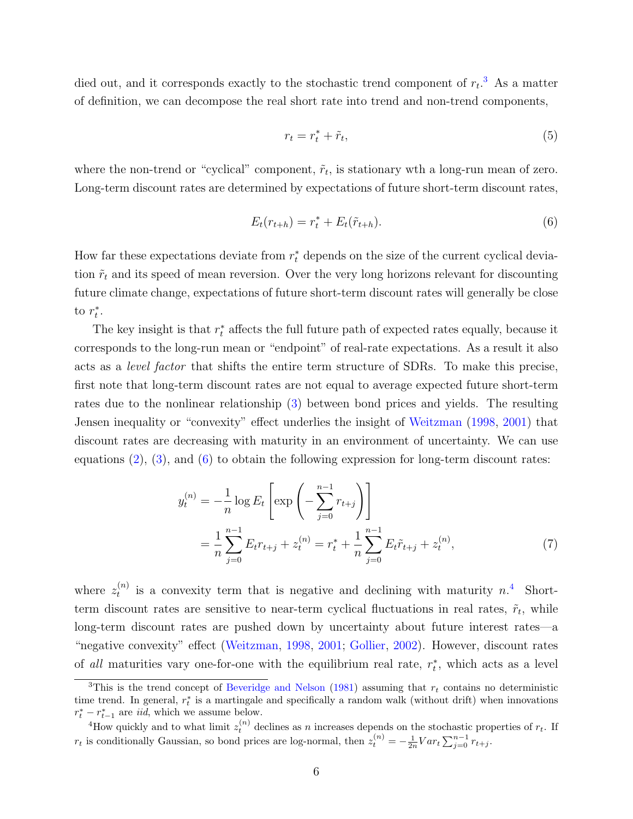died out, and it corresponds exactly to the stochastic trend component of  $r_t$ <sup>[3](#page-7-0)</sup>. As a matter of definition, we can decompose the real short rate into trend and non-trend components,

$$
r_t = r_t^* + \tilde{r}_t,\tag{5}
$$

where the non-trend or "cyclical" component,  $\tilde{r}_t$ , is stationary wth a long-run mean of zero. Long-term discount rates are determined by expectations of future short-term discount rates,

<span id="page-7-1"></span>
$$
E_t(r_{t+h}) = r_t^* + E_t(\tilde{r}_{t+h}).
$$
\n(6)

How far these expectations deviate from  $r_t^*$  depends on the size of the current cyclical deviation  $\tilde{r}_t$  and its speed of mean reversion. Over the very long horizons relevant for discounting future climate change, expectations of future short-term discount rates will generally be close to  $r_t^*$ .

The key insight is that  $r_t^*$  affects the full future path of expected rates equally, because it corresponds to the long-run mean or "endpoint" of real-rate expectations. As a result it also acts as a level factor that shifts the entire term structure of SDRs. To make this precise, first note that long-term discount rates are not equal to average expected future short-term rates due to the nonlinear relationship [\(3\)](#page-6-1) between bond prices and yields. The resulting Jensen inequality or "convexity" effect underlies the insight of [Weitzman](#page-35-0) [\(1998,](#page-35-0) [2001\)](#page-35-1) that discount rates are decreasing with maturity in an environment of uncertainty. We can use equations [\(2\)](#page-6-0), [\(3\)](#page-6-1), and [\(6\)](#page-7-1) to obtain the following expression for long-term discount rates:

$$
y_t^{(n)} = -\frac{1}{n} \log E_t \left[ \exp\left( -\sum_{j=0}^{n-1} r_{t+j} \right) \right]
$$
  
= 
$$
\frac{1}{n} \sum_{j=0}^{n-1} E_t r_{t+j} + z_t^{(n)} = r_t^* + \frac{1}{n} \sum_{j=0}^{n-1} E_t \tilde{r}_{t+j} + z_t^{(n)},
$$
 (7)

where  $z_t^{(n)}$  $t_t^{(n)}$  is a convexity term that is negative and declining with maturity  $n<sup>4</sup>$  $n<sup>4</sup>$  $n<sup>4</sup>$ . Shortterm discount rates are sensitive to near-term cyclical fluctuations in real rates,  $\tilde{r}_t$ , while long-term discount rates are pushed down by uncertainty about future interest rates—a "negative convexity" effect [\(Weitzman,](#page-35-0) [1998,](#page-35-0) [2001;](#page-35-1) [Gollier,](#page-32-4) [2002\)](#page-32-4). However, discount rates of all maturities vary one-for-one with the equilibrium real rate,  $r_t^*$ , which acts as a level

<span id="page-7-0"></span><sup>&</sup>lt;sup>3</sup>This is the trend concept of [Beveridge and Nelson](#page-29-1) [\(1981\)](#page-29-1) assuming that  $r_t$  contains no deterministic time trend. In general,  $r_t^*$  is a martingale and specifically a random walk (without drift) when innovations  $r_t^* - r_{t-1}^*$  are *iid*, which we assume below.

<span id="page-7-2"></span><sup>&</sup>lt;sup>4</sup>How quickly and to what limit  $z_t^{(n)}$  declines as n increases depends on the stochastic properties of  $r_t$ . If  $r_t$  is conditionally Gaussian, so bond prices are log-normal, then  $z_t^{(n)} = -\frac{1}{2n}Var_t\sum_{j=0}^{n-1}r_{t+j}$ .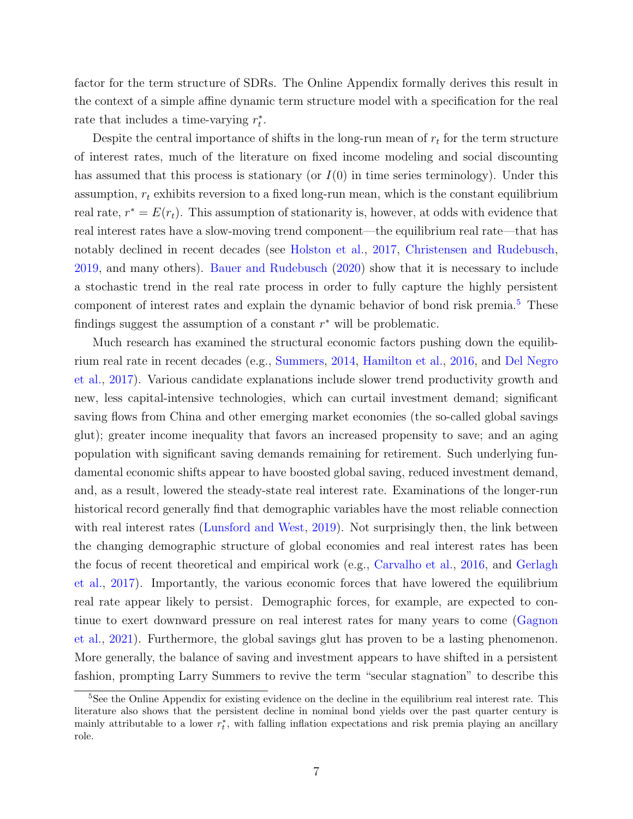factor for the term structure of SDRs. The Online Appendix formally derives this result in the context of a simple affine dynamic term structure model with a specification for the real rate that includes a time-varying  $r_t^*$ .

Despite the central importance of shifts in the long-run mean of  $r_t$  for the term structure of interest rates, much of the literature on fixed income modeling and social discounting has assumed that this process is stationary (or  $I(0)$  in time series terminology). Under this assumption,  $r_t$  exhibits reversion to a fixed long-run mean, which is the constant equilibrium real rate,  $r^* = E(r_t)$ . This assumption of stationarity is, however, at odds with evidence that real interest rates have a slow-moving trend component—the equilibrium real rate—that has notably declined in recent decades (see [Holston et al.,](#page-33-1) [2017,](#page-33-1) [Christensen and Rudebusch,](#page-30-1) [2019,](#page-30-1) and many others). [Bauer and Rudebusch](#page-29-0) [\(2020\)](#page-29-0) show that it is necessary to include a stochastic trend in the real rate process in order to fully capture the highly persistent component of interest rates and explain the dynamic behavior of bond risk premia.<sup>[5](#page-8-0)</sup> These findings suggest the assumption of a constant  $r^*$  will be problematic.

Much research has examined the structural economic factors pushing down the equilibrium real rate in recent decades (e.g., [Summers,](#page-34-0) [2014,](#page-34-0) [Hamilton et al.,](#page-32-0) [2016,](#page-32-0) and [Del Negro](#page-30-0) [et al.,](#page-30-0) [2017\)](#page-30-0). Various candidate explanations include slower trend productivity growth and new, less capital-intensive technologies, which can curtail investment demand; significant saving flows from China and other emerging market economies (the so-called global savings glut); greater income inequality that favors an increased propensity to save; and an aging population with significant saving demands remaining for retirement. Such underlying fundamental economic shifts appear to have boosted global saving, reduced investment demand, and, as a result, lowered the steady-state real interest rate. Examinations of the longer-run historical record generally find that demographic variables have the most reliable connection with real interest rates [\(Lunsford and West,](#page-33-2) [2019\)](#page-33-2). Not surprisingly then, the link between the changing demographic structure of global economies and real interest rates has been the focus of recent theoretical and empirical work (e.g., [Carvalho et al.,](#page-30-2) [2016,](#page-30-2) and [Gerlagh](#page-31-3) [et al.,](#page-31-3) [2017\)](#page-31-3). Importantly, the various economic forces that have lowered the equilibrium real rate appear likely to persist. Demographic forces, for example, are expected to continue to exert downward pressure on real interest rates for many years to come [\(Gagnon](#page-31-4) [et al.,](#page-31-4) [2021\)](#page-31-4). Furthermore, the global savings glut has proven to be a lasting phenomenon. More generally, the balance of saving and investment appears to have shifted in a persistent fashion, prompting Larry Summers to revive the term "secular stagnation" to describe this

<span id="page-8-0"></span><sup>&</sup>lt;sup>5</sup>See the Online Appendix for existing evidence on the decline in the equilibrium real interest rate. This literature also shows that the persistent decline in nominal bond yields over the past quarter century is mainly attributable to a lower  $r_t^*$ , with falling inflation expectations and risk premia playing an ancillary role.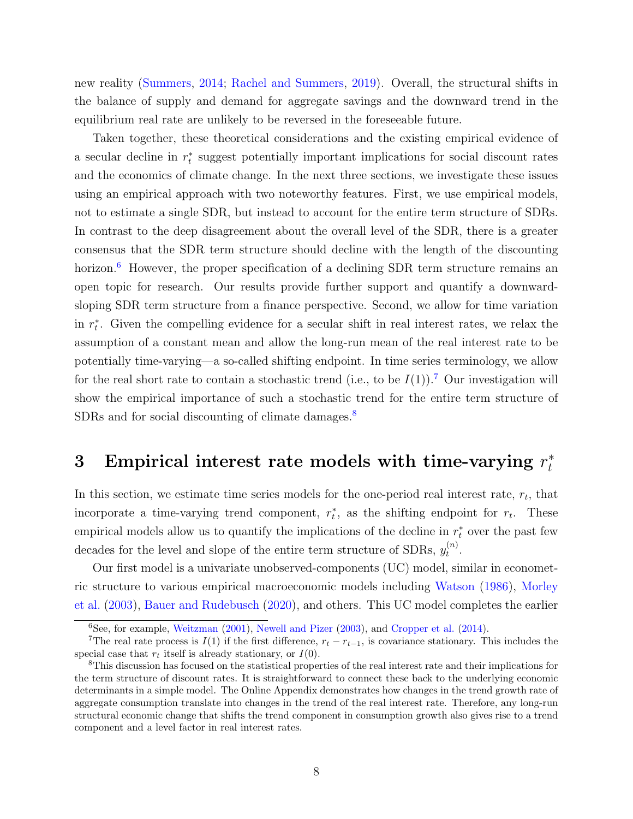new reality [\(Summers,](#page-34-0) [2014;](#page-34-0) [Rachel and Summers,](#page-34-3) [2019\)](#page-34-3). Overall, the structural shifts in the balance of supply and demand for aggregate savings and the downward trend in the equilibrium real rate are unlikely to be reversed in the foreseeable future.

Taken together, these theoretical considerations and the existing empirical evidence of a secular decline in  $r_t^*$  suggest potentially important implications for social discount rates and the economics of climate change. In the next three sections, we investigate these issues using an empirical approach with two noteworthy features. First, we use empirical models, not to estimate a single SDR, but instead to account for the entire term structure of SDRs. In contrast to the deep disagreement about the overall level of the SDR, there is a greater consensus that the SDR term structure should decline with the length of the discounting horizon.<sup>[6](#page-9-0)</sup> However, the proper specification of a declining SDR term structure remains an open topic for research. Our results provide further support and quantify a downwardsloping SDR term structure from a finance perspective. Second, we allow for time variation in  $r_t^*$ . Given the compelling evidence for a secular shift in real interest rates, we relax the assumption of a constant mean and allow the long-run mean of the real interest rate to be potentially time-varying—a so-called shifting endpoint. In time series terminology, we allow for the real short rate to contain a stochastic trend (i.e., to be  $I(1)$ ).<sup>[7](#page-9-1)</sup> Our investigation will show the empirical importance of such a stochastic trend for the entire term structure of SDRs and for social discounting of climate damages.<sup>[8](#page-9-2)</sup>

#### <span id="page-9-3"></span>3 Empirical interest rate models with time-varying  $r_t^*$ t

In this section, we estimate time series models for the one-period real interest rate,  $r_t$ , that incorporate a time-varying trend component,  $r_t^*$ , as the shifting endpoint for  $r_t$ . These empirical models allow us to quantify the implications of the decline in  $r_t^*$  over the past few decades for the level and slope of the entire term structure of SDRs,  $y_t^{(n)}$  $\binom{n}{t}$ .

Our first model is a univariate unobserved-components (UC) model, similar in econometric structure to various empirical macroeconomic models including [Watson](#page-34-4) [\(1986\)](#page-34-4), [Morley](#page-33-3) [et al.](#page-33-3) [\(2003\)](#page-33-3), [Bauer and Rudebusch](#page-29-0) [\(2020\)](#page-29-0), and others. This UC model completes the earlier

<span id="page-9-1"></span><span id="page-9-0"></span> $6$ See, for example, [Weitzman](#page-35-1) [\(2001\)](#page-35-1), [Newell and Pizer](#page-33-0) [\(2003\)](#page-33-0), and [Cropper et al.](#page-30-3) [\(2014\)](#page-30-3).

<sup>&</sup>lt;sup>7</sup>The real rate process is  $I(1)$  if the first difference,  $r_t - r_{t-1}$ , is covariance stationary. This includes the special case that  $r_t$  itself is already stationary, or  $I(0)$ .

<span id="page-9-2"></span><sup>8</sup>This discussion has focused on the statistical properties of the real interest rate and their implications for the term structure of discount rates. It is straightforward to connect these back to the underlying economic determinants in a simple model. The Online Appendix demonstrates how changes in the trend growth rate of aggregate consumption translate into changes in the trend of the real interest rate. Therefore, any long-run structural economic change that shifts the trend component in consumption growth also gives rise to a trend component and a level factor in real interest rates.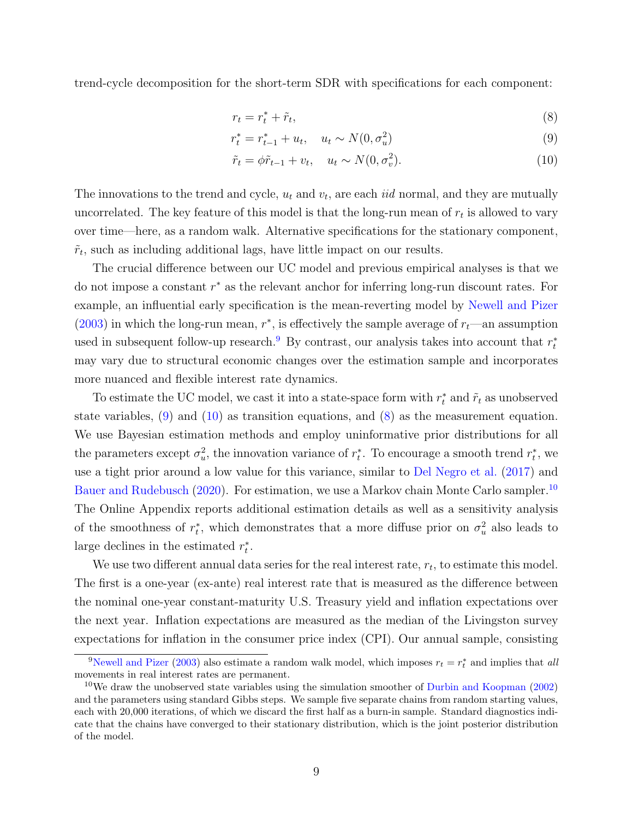trend-cycle decomposition for the short-term SDR with specifications for each component:

<span id="page-10-3"></span><span id="page-10-2"></span><span id="page-10-1"></span>
$$
r_t = r_t^* + \tilde{r}_t,\tag{8}
$$

$$
r_t^* = r_{t-1}^* + u_t, \quad u_t \sim N(0, \sigma_u^2)
$$
\n(9)

$$
\tilde{r}_t = \phi \tilde{r}_{t-1} + v_t, \quad u_t \sim N(0, \sigma_v^2). \tag{10}
$$

The innovations to the trend and cycle,  $u_t$  and  $v_t$ , are each *iid* normal, and they are mutually uncorrelated. The key feature of this model is that the long-run mean of  $r_t$  is allowed to vary over time—here, as a random walk. Alternative specifications for the stationary component,  $\tilde{r}_t$ , such as including additional lags, have little impact on our results.

The crucial difference between our UC model and previous empirical analyses is that we do not impose a constant  $r^*$  as the relevant anchor for inferring long-run discount rates. For example, an influential early specification is the mean-reverting model by [Newell and Pizer](#page-33-0) [\(2003\)](#page-33-0) in which the long-run mean,  $r^*$ , is effectively the sample average of  $r_t$ —an assumption used in subsequent follow-up research.<sup>[9](#page-10-0)</sup> By contrast, our analysis takes into account that  $r_t^*$ may vary due to structural economic changes over the estimation sample and incorporates more nuanced and flexible interest rate dynamics.

To estimate the UC model, we cast it into a state-space form with  $r_t^*$  and  $\tilde{r}_t$  as unobserved state variables, [\(9\)](#page-10-1) and [\(10\)](#page-10-2) as transition equations, and [\(8\)](#page-10-3) as the measurement equation. We use Bayesian estimation methods and employ uninformative prior distributions for all the parameters except  $\sigma_u^2$ , the innovation variance of  $r_t^*$ . To encourage a smooth trend  $r_t^*$ , we use a tight prior around a low value for this variance, similar to [Del Negro et al.](#page-30-0) [\(2017\)](#page-30-0) and [Bauer and Rudebusch](#page-29-0) [\(2020\)](#page-29-0). For estimation, we use a Markov chain Monte Carlo sampler.<sup>[10](#page-10-4)</sup> The Online Appendix reports additional estimation details as well as a sensitivity analysis of the smoothness of  $r_t^*$ , which demonstrates that a more diffuse prior on  $\sigma_u^2$  also leads to large declines in the estimated  $r_t^*$ .

We use two different annual data series for the real interest rate,  $r_t$ , to estimate this model. The first is a one-year (ex-ante) real interest rate that is measured as the difference between the nominal one-year constant-maturity U.S. Treasury yield and inflation expectations over the next year. Inflation expectations are measured as the median of the Livingston survey expectations for inflation in the consumer price index (CPI). Our annual sample, consisting

<span id="page-10-0"></span><sup>&</sup>lt;sup>9</sup>[Newell and Pizer](#page-33-0) [\(2003\)](#page-33-0) also estimate a random walk model, which imposes  $r_t = r_t^*$  and implies that all movements in real interest rates are permanent.

<span id="page-10-4"></span> $10$ We draw the unobserved state variables using the simulation smoother of [Durbin and Koopman](#page-31-5) [\(2002\)](#page-31-5) and the parameters using standard Gibbs steps. We sample five separate chains from random starting values, each with 20,000 iterations, of which we discard the first half as a burn-in sample. Standard diagnostics indicate that the chains have converged to their stationary distribution, which is the joint posterior distribution of the model.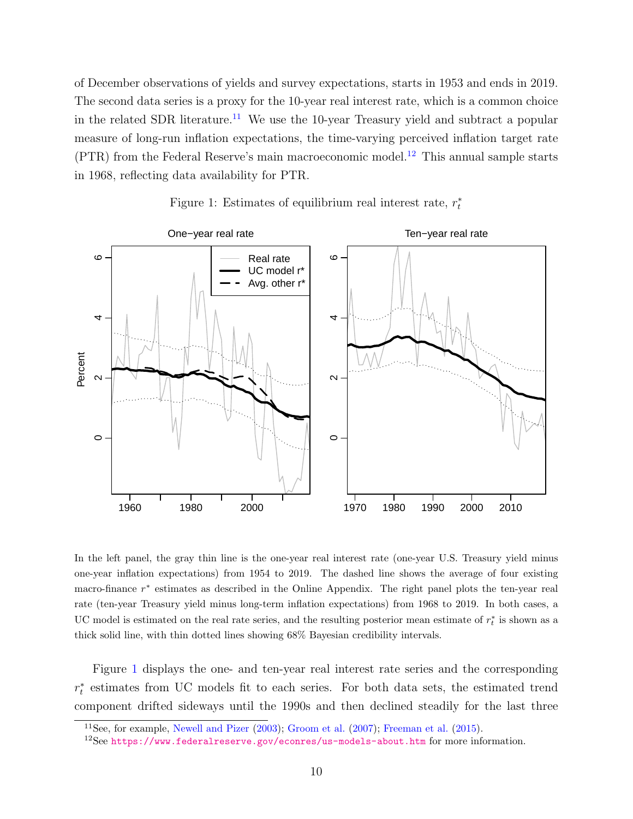of December observations of yields and survey expectations, starts in 1953 and ends in 2019. The second data series is a proxy for the 10-year real interest rate, which is a common choice in the related SDR literature.<sup>[11](#page-11-0)</sup> We use the 10-year Treasury yield and subtract a popular measure of long-run inflation expectations, the time-varying perceived inflation target rate (PTR) from the Federal Reserve's main macroeconomic model.[12](#page-11-1) This annual sample starts in 1968, reflecting data availability for PTR.

<span id="page-11-2"></span>

Figure 1: Estimates of equilibrium real interest rate,  $r_t^*$ 

In the left panel, the gray thin line is the one-year real interest rate (one-year U.S. Treasury yield minus one-year inflation expectations) from 1954 to 2019. The dashed line shows the average of four existing macro-finance r<sup>\*</sup> estimates as described in the Online Appendix. The right panel plots the ten-year real rate (ten-year Treasury yield minus long-term inflation expectations) from 1968 to 2019. In both cases, a UC model is estimated on the real rate series, and the resulting posterior mean estimate of  $r_t^*$  is shown as a thick solid line, with thin dotted lines showing 68% Bayesian credibility intervals.

Figure [1](#page-11-2) displays the one- and ten-year real interest rate series and the corresponding  $r_t^*$  estimates from UC models fit to each series. For both data sets, the estimated trend component drifted sideways until the 1990s and then declined steadily for the last three

<span id="page-11-0"></span><sup>11</sup>See, for example, [Newell and Pizer](#page-33-0) [\(2003\)](#page-33-0); [Groom et al.](#page-32-1) [\(2007\)](#page-32-1); [Freeman et al.](#page-31-1) [\(2015\)](#page-31-1).

<span id="page-11-1"></span> $12$ See <https://www.federalreserve.gov/econres/us-models-about.htm> for more information.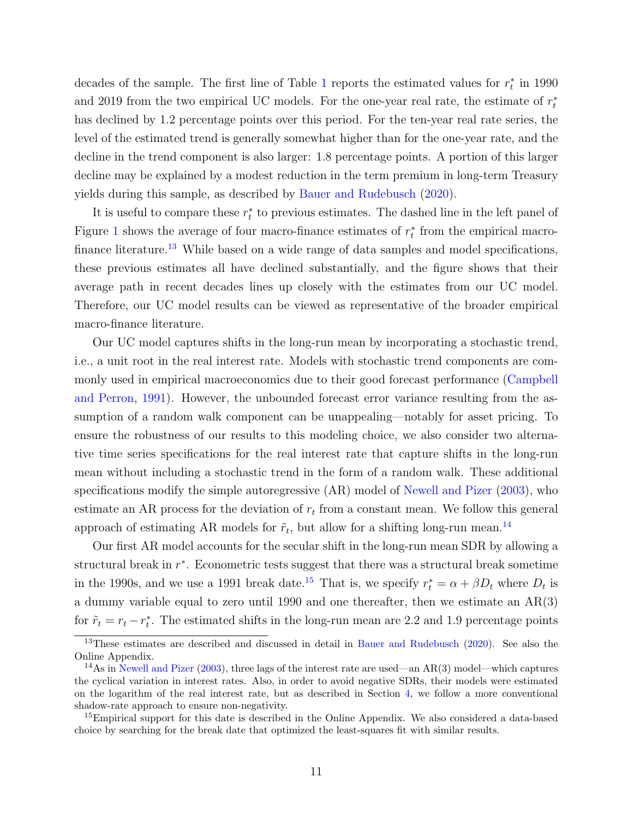decades of the sample. The first line of Table [1](#page-13-0) reports the estimated values for  $r_t^*$  in 1990 and 2019 from the two empirical UC models. For the one-year real rate, the estimate of  $r_t^*$ has declined by 1.2 percentage points over this period. For the ten-year real rate series, the level of the estimated trend is generally somewhat higher than for the one-year rate, and the decline in the trend component is also larger: 1.8 percentage points. A portion of this larger decline may be explained by a modest reduction in the term premium in long-term Treasury yields during this sample, as described by [Bauer and Rudebusch](#page-29-0) [\(2020\)](#page-29-0).

It is useful to compare these  $r_t^*$  to previous estimates. The dashed line in the left panel of Figure [1](#page-11-2) shows the average of four macro-finance estimates of  $r_t^*$  from the empirical macro-finance literature.<sup>[13](#page-12-0)</sup> While based on a wide range of data samples and model specifications, these previous estimates all have declined substantially, and the figure shows that their average path in recent decades lines up closely with the estimates from our UC model. Therefore, our UC model results can be viewed as representative of the broader empirical macro-finance literature.

Our UC model captures shifts in the long-run mean by incorporating a stochastic trend, i.e., a unit root in the real interest rate. Models with stochastic trend components are commonly used in empirical macroeconomics due to their good forecast performance [\(Campbell](#page-30-4) [and Perron,](#page-30-4) [1991\)](#page-30-4). However, the unbounded forecast error variance resulting from the assumption of a random walk component can be unappealing—notably for asset pricing. To ensure the robustness of our results to this modeling choice, we also consider two alternative time series specifications for the real interest rate that capture shifts in the long-run mean without including a stochastic trend in the form of a random walk. These additional specifications modify the simple autoregressive (AR) model of [Newell and Pizer](#page-33-0) [\(2003\)](#page-33-0), who estimate an AR process for the deviation of  $r_t$  from a constant mean. We follow this general approach of estimating AR models for  $\tilde{r}_t$ , but allow for a shifting long-run mean.<sup>[14](#page-12-1)</sup>

Our first AR model accounts for the secular shift in the long-run mean SDR by allowing a structural break in  $r^*$ . Econometric tests suggest that there was a structural break sometime in the 1990s, and we use a 1991 break date.<sup>[15](#page-12-2)</sup> That is, we specify  $r_t^* = \alpha + \beta D_t$  where  $D_t$  is a dummy variable equal to zero until 1990 and one thereafter, then we estimate an AR(3) for  $\tilde{r}_t = r_t - r_t^*$ . The estimated shifts in the long-run mean are 2.2 and 1.9 percentage points

<span id="page-12-0"></span><sup>&</sup>lt;sup>13</sup>These estimates are described and discussed in detail in [Bauer and Rudebusch](#page-29-0) [\(2020\)](#page-29-0). See also the Online Appendix.

<span id="page-12-1"></span><sup>&</sup>lt;sup>14</sup>As in [Newell and Pizer](#page-33-0) [\(2003\)](#page-33-0), three lags of the interest rate are used—an AR(3) model—which captures the cyclical variation in interest rates. Also, in order to avoid negative SDRs, their models were estimated on the logarithm of the real interest rate, but as described in Section [4,](#page-14-0) we follow a more conventional shadow-rate approach to ensure non-negativity.

<span id="page-12-2"></span><sup>&</sup>lt;sup>15</sup>Empirical support for this date is described in the Online Appendix. We also considered a data-based choice by searching for the break date that optimized the least-squares fit with similar results.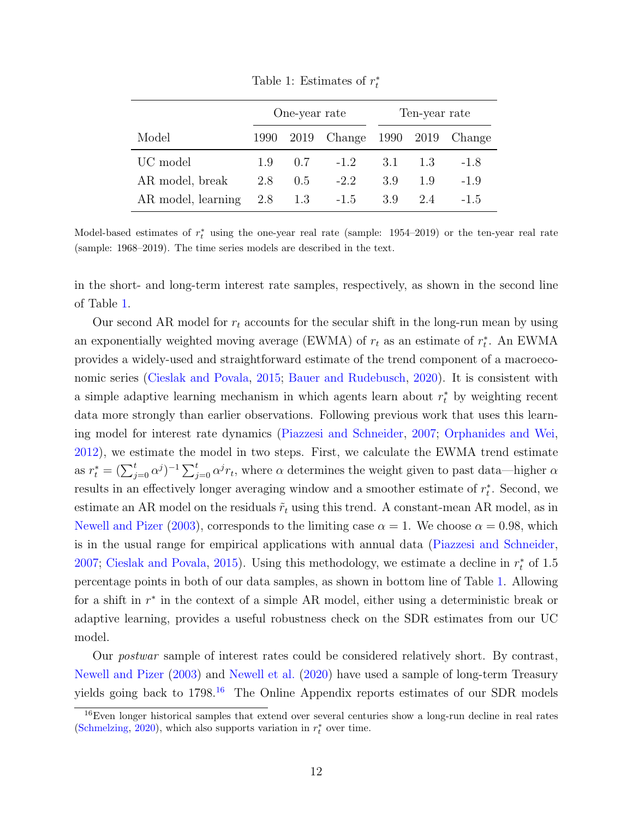<span id="page-13-0"></span>

|                    | One-year rate |              |                                   | Ten-year rate |     |        |
|--------------------|---------------|--------------|-----------------------------------|---------------|-----|--------|
| Model              |               |              | 1990 2019 Change 1990 2019 Change |               |     |        |
| UC model           |               | $1.9 \t 0.7$ | $-1.2$                            | 3.1           | 13  | $-1.8$ |
| AR model, break    | 2.8           | 0.5          | $-2.2$                            | 3.9           | 1.9 | $-1.9$ |
| AR model, learning | 2.8           | 1.3          | $-1.5$                            | 3.9           | 2.4 | -1.5   |

Table 1: Estimates of  $r_t^*$ 

Model-based estimates of  $r_t^*$  using the one-year real rate (sample: 1954–2019) or the ten-year real rate (sample: 1968–2019). The time series models are described in the text.

in the short- and long-term interest rate samples, respectively, as shown in the second line of Table [1.](#page-13-0)

Our second AR model for  $r_t$  accounts for the secular shift in the long-run mean by using an exponentially weighted moving average (EWMA) of  $r_t$  as an estimate of  $r_t^*$ . An EWMA provides a widely-used and straightforward estimate of the trend component of a macroeconomic series [\(Cieslak and Povala,](#page-30-5) [2015;](#page-30-5) [Bauer and Rudebusch,](#page-29-0) [2020\)](#page-29-0). It is consistent with a simple adaptive learning mechanism in which agents learn about  $r_t^*$  by weighting recent data more strongly than earlier observations. Following previous work that uses this learning model for interest rate dynamics [\(Piazzesi and Schneider,](#page-34-5) [2007;](#page-34-5) [Orphanides and Wei,](#page-34-6) [2012\)](#page-34-6), we estimate the model in two steps. First, we calculate the EWMA trend estimate as  $r_t^* = (\sum_{j=0}^t \alpha^j)^{-1} \sum_{j=0}^t \alpha^j r_t$ , where  $\alpha$  determines the weight given to past data—higher  $\alpha$ results in an effectively longer averaging window and a smoother estimate of  $r_t^*$ . Second, we estimate an AR model on the residuals  $\tilde{r}_t$  using this trend. A constant-mean AR model, as in [Newell and Pizer](#page-33-0) [\(2003\)](#page-33-0), corresponds to the limiting case  $\alpha = 1$ . We choose  $\alpha = 0.98$ , which is in the usual range for empirical applications with annual data [\(Piazzesi and Schneider,](#page-34-5) [2007;](#page-34-5) [Cieslak and Povala,](#page-30-5) [2015\)](#page-30-5). Using this methodology, we estimate a decline in  $r_t^*$  of 1.5 percentage points in both of our data samples, as shown in bottom line of Table [1.](#page-13-0) Allowing for a shift in  $r^*$  in the context of a simple AR model, either using a deterministic break or adaptive learning, provides a useful robustness check on the SDR estimates from our UC model.

Our *postwar* sample of interest rates could be considered relatively short. By contrast, [Newell and Pizer](#page-33-0) [\(2003\)](#page-33-0) and [Newell et al.](#page-33-4) [\(2020\)](#page-33-4) have used a sample of long-term Treasury yields going back to 1798.<sup>[16](#page-13-1)</sup> The Online Appendix reports estimates of our SDR models

<span id="page-13-1"></span><sup>16</sup>Even longer historical samples that extend over several centuries show a long-run decline in real rates [\(Schmelzing,](#page-34-7) [2020\)](#page-34-7), which also supports variation in  $r_t^*$  over time.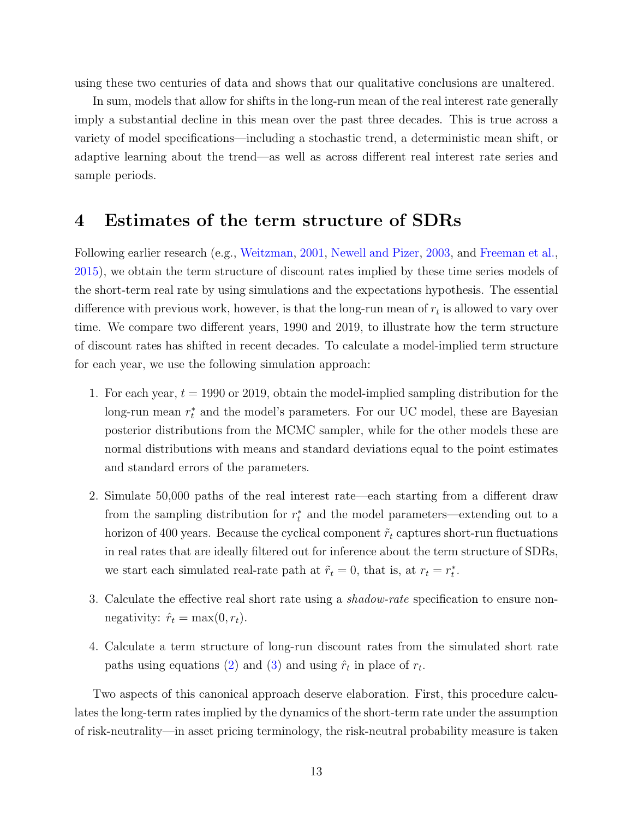using these two centuries of data and shows that our qualitative conclusions are unaltered.

In sum, models that allow for shifts in the long-run mean of the real interest rate generally imply a substantial decline in this mean over the past three decades. This is true across a variety of model specifications—including a stochastic trend, a deterministic mean shift, or adaptive learning about the trend—as well as across different real interest rate series and sample periods.

#### <span id="page-14-0"></span>4 Estimates of the term structure of SDRs

Following earlier research (e.g., [Weitzman,](#page-35-1) [2001,](#page-35-1) [Newell and Pizer,](#page-33-0) [2003,](#page-33-0) and [Freeman et al.,](#page-31-1) [2015\)](#page-31-1), we obtain the term structure of discount rates implied by these time series models of the short-term real rate by using simulations and the expectations hypothesis. The essential difference with previous work, however, is that the long-run mean of  $r_t$  is allowed to vary over time. We compare two different years, 1990 and 2019, to illustrate how the term structure of discount rates has shifted in recent decades. To calculate a model-implied term structure for each year, we use the following simulation approach:

- 1. For each year,  $t = 1990$  or 2019, obtain the model-implied sampling distribution for the long-run mean  $r_t^*$  and the model's parameters. For our UC model, these are Bayesian posterior distributions from the MCMC sampler, while for the other models these are normal distributions with means and standard deviations equal to the point estimates and standard errors of the parameters.
- 2. Simulate 50,000 paths of the real interest rate—each starting from a different draw from the sampling distribution for  $r_t^*$  and the model parameters—extending out to a horizon of 400 years. Because the cyclical component  $\tilde{r}_t$  captures short-run fluctuations in real rates that are ideally filtered out for inference about the term structure of SDRs, we start each simulated real-rate path at  $\tilde{r}_t = 0$ , that is, at  $r_t = r_t^*$ .
- 3. Calculate the effective real short rate using a shadow-rate specification to ensure nonnegativity:  $\hat{r}_t = \max(0, r_t)$ .
- 4. Calculate a term structure of long-run discount rates from the simulated short rate paths using equations [\(2\)](#page-6-0) and [\(3\)](#page-6-1) and using  $\hat{r}_t$  in place of  $r_t$ .

Two aspects of this canonical approach deserve elaboration. First, this procedure calculates the long-term rates implied by the dynamics of the short-term rate under the assumption of risk-neutrality—in asset pricing terminology, the risk-neutral probability measure is taken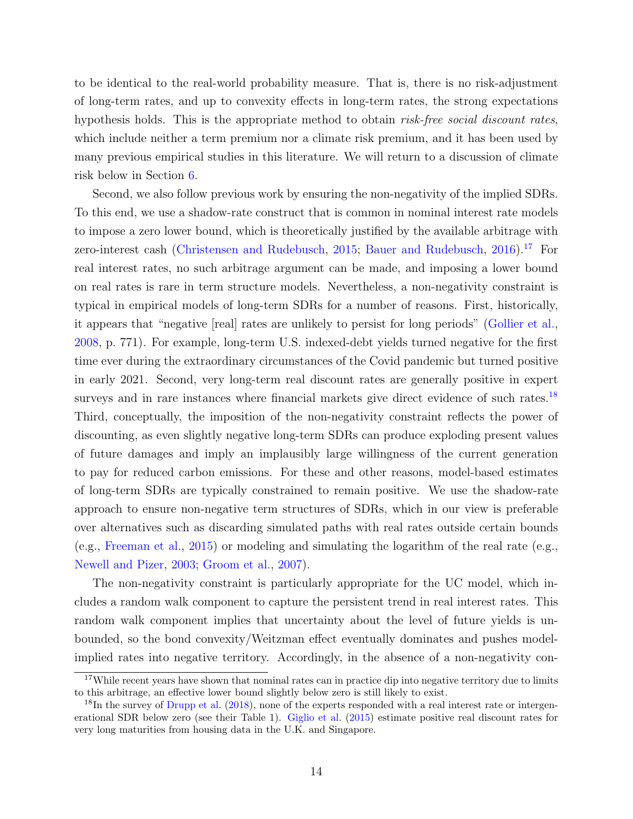to be identical to the real-world probability measure. That is, there is no risk-adjustment of long-term rates, and up to convexity effects in long-term rates, the strong expectations hypothesis holds. This is the appropriate method to obtain *risk-free social discount rates*, which include neither a term premium nor a climate risk premium, and it has been used by many previous empirical studies in this literature. We will return to a discussion of climate risk below in Section [6.](#page-22-0)

Second, we also follow previous work by ensuring the non-negativity of the implied SDRs. To this end, we use a shadow-rate construct that is common in nominal interest rate models to impose a zero lower bound, which is theoretically justified by the available arbitrage with zero-interest cash [\(Christensen and Rudebusch,](#page-30-6) [2015;](#page-30-6) [Bauer and Rudebusch,](#page-29-2) [2016\)](#page-29-2).<sup>[17](#page-15-0)</sup> For real interest rates, no such arbitrage argument can be made, and imposing a lower bound on real rates is rare in term structure models. Nevertheless, a non-negativity constraint is typical in empirical models of long-term SDRs for a number of reasons. First, historically, it appears that "negative [real] rates are unlikely to persist for long periods" [\(Gollier et al.,](#page-32-2) [2008,](#page-32-2) p. 771). For example, long-term U.S. indexed-debt yields turned negative for the first time ever during the extraordinary circumstances of the Covid pandemic but turned positive in early 2021. Second, very long-term real discount rates are generally positive in expert surveys and in rare instances where financial markets give direct evidence of such rates.<sup>[18](#page-15-1)</sup> Third, conceptually, the imposition of the non-negativity constraint reflects the power of discounting, as even slightly negative long-term SDRs can produce exploding present values of future damages and imply an implausibly large willingness of the current generation to pay for reduced carbon emissions. For these and other reasons, model-based estimates of long-term SDRs are typically constrained to remain positive. We use the shadow-rate approach to ensure non-negative term structures of SDRs, which in our view is preferable over alternatives such as discarding simulated paths with real rates outside certain bounds (e.g., [Freeman et al.,](#page-31-1) [2015\)](#page-31-1) or modeling and simulating the logarithm of the real rate (e.g., [Newell and Pizer,](#page-33-0) [2003;](#page-33-0) [Groom et al.,](#page-32-1) [2007\)](#page-32-1).

The non-negativity constraint is particularly appropriate for the UC model, which includes a random walk component to capture the persistent trend in real interest rates. This random walk component implies that uncertainty about the level of future yields is unbounded, so the bond convexity/Weitzman effect eventually dominates and pushes modelimplied rates into negative territory. Accordingly, in the absence of a non-negativity con-

<span id="page-15-0"></span><sup>&</sup>lt;sup>17</sup>While recent years have shown that nominal rates can in practice dip into negative territory due to limits to this arbitrage, an effective lower bound slightly below zero is still likely to exist.

<span id="page-15-1"></span> $^{18}$ In the survey of [Drupp et al.](#page-31-0) [\(2018\)](#page-31-0), none of the experts responded with a real interest rate or intergenerational SDR below zero (see their Table 1). [Giglio et al.](#page-32-5) [\(2015\)](#page-32-5) estimate positive real discount rates for very long maturities from housing data in the U.K. and Singapore.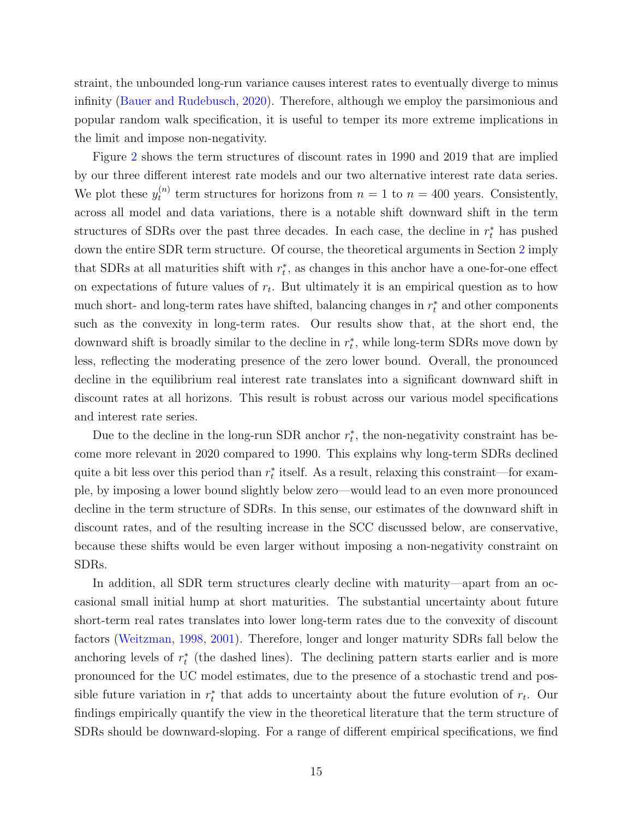straint, the unbounded long-run variance causes interest rates to eventually diverge to minus infinity [\(Bauer and Rudebusch,](#page-29-0) [2020\)](#page-29-0). Therefore, although we employ the parsimonious and popular random walk specification, it is useful to temper its more extreme implications in the limit and impose non-negativity.

Figure [2](#page-17-0) shows the term structures of discount rates in 1990 and 2019 that are implied by our three different interest rate models and our two alternative interest rate data series. We plot these  $y_t^{(n)}$  $t_t^{(n)}$  term structures for horizons from  $n = 1$  to  $n = 400$  years. Consistently, across all model and data variations, there is a notable shift downward shift in the term structures of SDRs over the past three decades. In each case, the decline in  $r_t^*$  has pushed down the entire SDR term structure. Of course, the theoretical arguments in Section [2](#page-5-1) imply that SDRs at all maturities shift with  $r_t^*$ , as changes in this anchor have a one-for-one effect on expectations of future values of  $r_t$ . But ultimately it is an empirical question as to how much short- and long-term rates have shifted, balancing changes in  $r_t^*$  and other components such as the convexity in long-term rates. Our results show that, at the short end, the downward shift is broadly similar to the decline in  $r_t^*$ , while long-term SDRs move down by less, reflecting the moderating presence of the zero lower bound. Overall, the pronounced decline in the equilibrium real interest rate translates into a significant downward shift in discount rates at all horizons. This result is robust across our various model specifications and interest rate series.

Due to the decline in the long-run SDR anchor  $r_t^*$ , the non-negativity constraint has become more relevant in 2020 compared to 1990. This explains why long-term SDRs declined quite a bit less over this period than  $r_t^*$  itself. As a result, relaxing this constraint—for example, by imposing a lower bound slightly below zero—would lead to an even more pronounced decline in the term structure of SDRs. In this sense, our estimates of the downward shift in discount rates, and of the resulting increase in the SCC discussed below, are conservative, because these shifts would be even larger without imposing a non-negativity constraint on SDRs.

In addition, all SDR term structures clearly decline with maturity—apart from an occasional small initial hump at short maturities. The substantial uncertainty about future short-term real rates translates into lower long-term rates due to the convexity of discount factors [\(Weitzman,](#page-35-0) [1998,](#page-35-0) [2001\)](#page-35-1). Therefore, longer and longer maturity SDRs fall below the anchoring levels of  $r_t^*$  (the dashed lines). The declining pattern starts earlier and is more pronounced for the UC model estimates, due to the presence of a stochastic trend and possible future variation in  $r_t^*$  that adds to uncertainty about the future evolution of  $r_t$ . Our findings empirically quantify the view in the theoretical literature that the term structure of SDRs should be downward-sloping. For a range of different empirical specifications, we find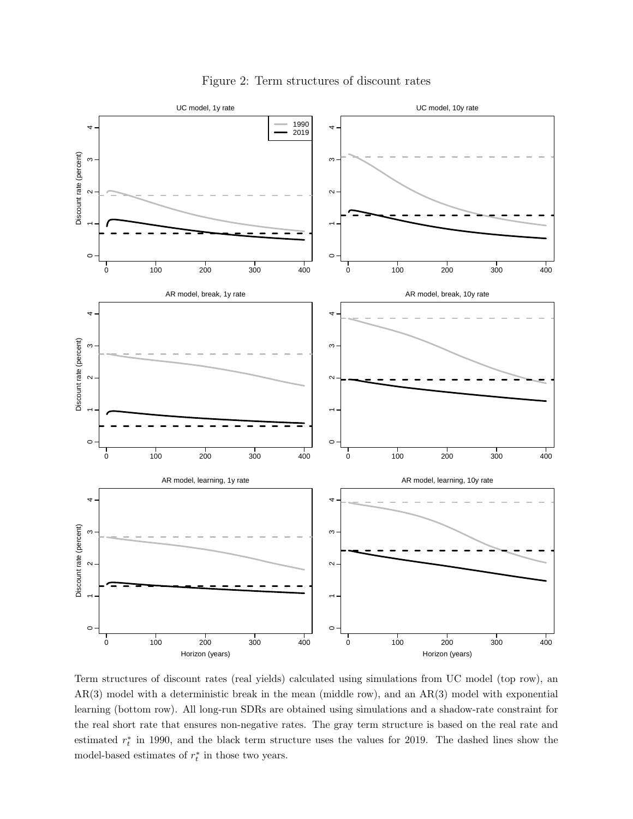<span id="page-17-0"></span>

Figure 2: Term structures of discount rates

Term structures of discount rates (real yields) calculated using simulations from UC model (top row), an AR(3) model with a deterministic break in the mean (middle row), and an AR(3) model with exponential learning (bottom row). All long-run SDRs are obtained using simulations and a shadow-rate constraint for the real short rate that ensures non-negative rates. The gray term structure is based on the real rate and estimated  $r_t^*$  in 1990, and the black term structure uses the values for 2019. The dashed lines show the model-based estimates of  $r_t^*$  in those two years.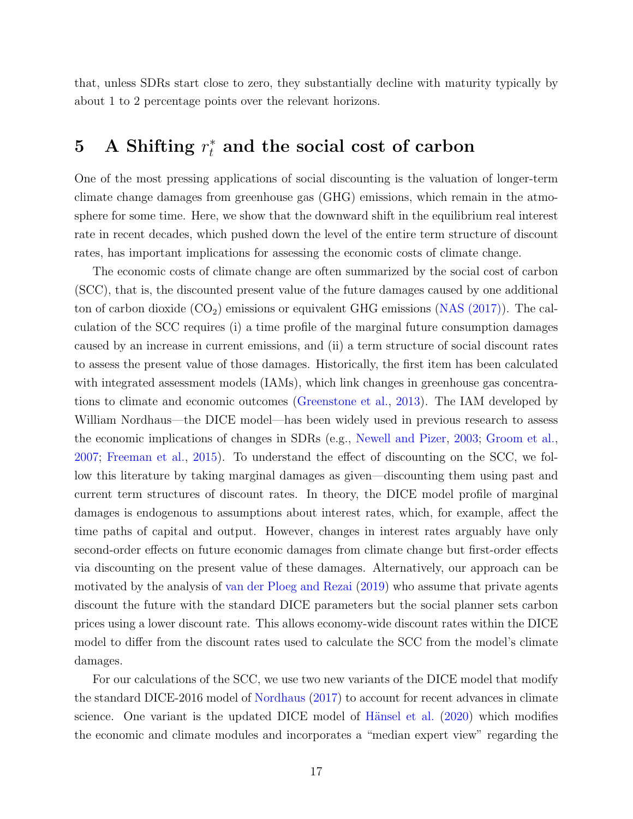that, unless SDRs start close to zero, they substantially decline with maturity typically by about 1 to 2 percentage points over the relevant horizons.

## <span id="page-18-0"></span>5 A Shifting  $r_t^*$  and the social cost of carbon

One of the most pressing applications of social discounting is the valuation of longer-term climate change damages from greenhouse gas (GHG) emissions, which remain in the atmosphere for some time. Here, we show that the downward shift in the equilibrium real interest rate in recent decades, which pushed down the level of the entire term structure of discount rates, has important implications for assessing the economic costs of climate change.

The economic costs of climate change are often summarized by the social cost of carbon (SCC), that is, the discounted present value of the future damages caused by one additional ton of carbon dioxide  $(CO_2)$  emissions or equivalent GHG emissions  $(NAS (2017))$ . The calculation of the SCC requires (i) a time profile of the marginal future consumption damages caused by an increase in current emissions, and (ii) a term structure of social discount rates to assess the present value of those damages. Historically, the first item has been calculated with integrated assessment models (IAMs), which link changes in greenhouse gas concentrations to climate and economic outcomes [\(Greenstone et al.,](#page-32-6) [2013\)](#page-32-6). The IAM developed by William Nordhaus—the DICE model—has been widely used in previous research to assess the economic implications of changes in SDRs (e.g., [Newell and Pizer,](#page-33-0) [2003;](#page-33-0) [Groom et al.,](#page-32-1) [2007;](#page-32-1) [Freeman et al.,](#page-31-1) [2015\)](#page-31-1). To understand the effect of discounting on the SCC, we follow this literature by taking marginal damages as given—discounting them using past and current term structures of discount rates. In theory, the DICE model profile of marginal damages is endogenous to assumptions about interest rates, which, for example, affect the time paths of capital and output. However, changes in interest rates arguably have only second-order effects on future economic damages from climate change but first-order effects via discounting on the present value of these damages. Alternatively, our approach can be motivated by the analysis of [van der Ploeg and Rezai](#page-34-8) [\(2019\)](#page-34-8) who assume that private agents discount the future with the standard DICE parameters but the social planner sets carbon prices using a lower discount rate. This allows economy-wide discount rates within the DICE model to differ from the discount rates used to calculate the SCC from the model's climate damages.

For our calculations of the SCC, we use two new variants of the DICE model that modify the standard DICE-2016 model of [Nordhaus](#page-34-1) [\(2017\)](#page-34-1) to account for recent advances in climate science. One variant is the updated DICE model of Hänsel et al.  $(2020)$  which modifies the economic and climate modules and incorporates a "median expert view" regarding the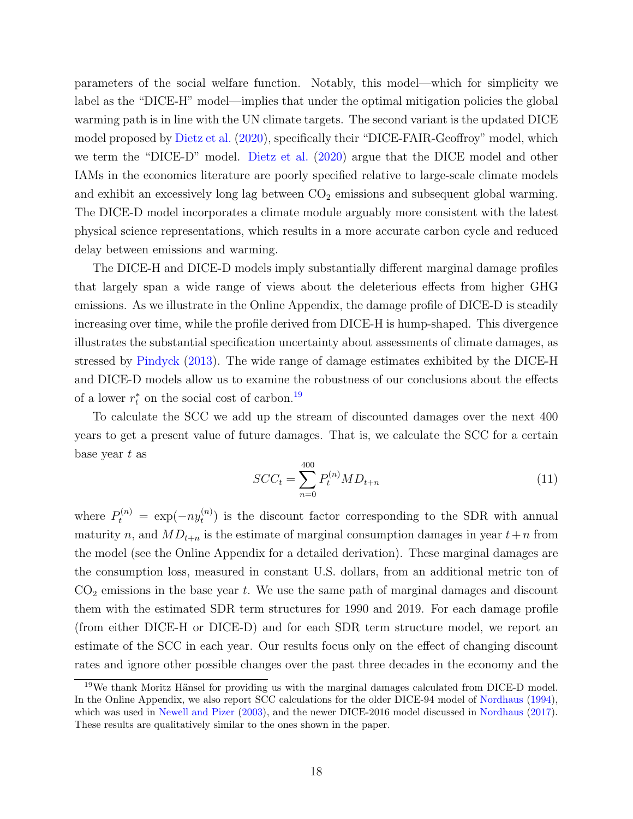parameters of the social welfare function. Notably, this model—which for simplicity we label as the "DICE-H" model—implies that under the optimal mitigation policies the global warming path is in line with the UN climate targets. The second variant is the updated DICE model proposed by [Dietz et al.](#page-31-6) [\(2020\)](#page-31-6), specifically their "DICE-FAIR-Geoffroy" model, which we term the "DICE-D" model. [Dietz et al.](#page-31-6) [\(2020\)](#page-31-6) argue that the DICE model and other IAMs in the economics literature are poorly specified relative to large-scale climate models and exhibit an excessively long lag between  $CO<sub>2</sub>$  emissions and subsequent global warming. The DICE-D model incorporates a climate module arguably more consistent with the latest physical science representations, which results in a more accurate carbon cycle and reduced delay between emissions and warming.

The DICE-H and DICE-D models imply substantially different marginal damage profiles that largely span a wide range of views about the deleterious effects from higher GHG emissions. As we illustrate in the Online Appendix, the damage profile of DICE-D is steadily increasing over time, while the profile derived from DICE-H is hump-shaped. This divergence illustrates the substantial specification uncertainty about assessments of climate damages, as stressed by [Pindyck](#page-34-9) [\(2013\)](#page-34-9). The wide range of damage estimates exhibited by the DICE-H and DICE-D models allow us to examine the robustness of our conclusions about the effects of a lower  $r_t^*$  on the social cost of carbon.<sup>[19](#page-19-0)</sup>

To calculate the SCC we add up the stream of discounted damages over the next 400 years to get a present value of future damages. That is, we calculate the SCC for a certain base year  $t$  as

$$
SCC_t = \sum_{n=0}^{400} P_t^{(n)} M D_{t+n}
$$
\n(11)

where  $P_t^{(n)} = \exp(-ny_t^{(n)})$  $t_t^{(n)}$ ) is the discount factor corresponding to the SDR with annual maturity n, and  $MD_{t+n}$  is the estimate of marginal consumption damages in year  $t+n$  from the model (see the Online Appendix for a detailed derivation). These marginal damages are the consumption loss, measured in constant U.S. dollars, from an additional metric ton of  $CO<sub>2</sub>$  emissions in the base year t. We use the same path of marginal damages and discount them with the estimated SDR term structures for 1990 and 2019. For each damage profile (from either DICE-H or DICE-D) and for each SDR term structure model, we report an estimate of the SCC in each year. Our results focus only on the effect of changing discount rates and ignore other possible changes over the past three decades in the economy and the

<span id="page-19-0"></span> $19\text{We thank Moritz Hänsel for providing us with the marginal damages calculated from DICE-D model.}$ In the Online Appendix, we also report SCC calculations for the older DICE-94 model of [Nordhaus](#page-33-6) [\(1994\)](#page-33-6), which was used in [Newell and Pizer](#page-33-0) [\(2003\)](#page-33-0), and the newer DICE-2016 model discussed in [Nordhaus](#page-34-1) [\(2017\)](#page-34-1). These results are qualitatively similar to the ones shown in the paper.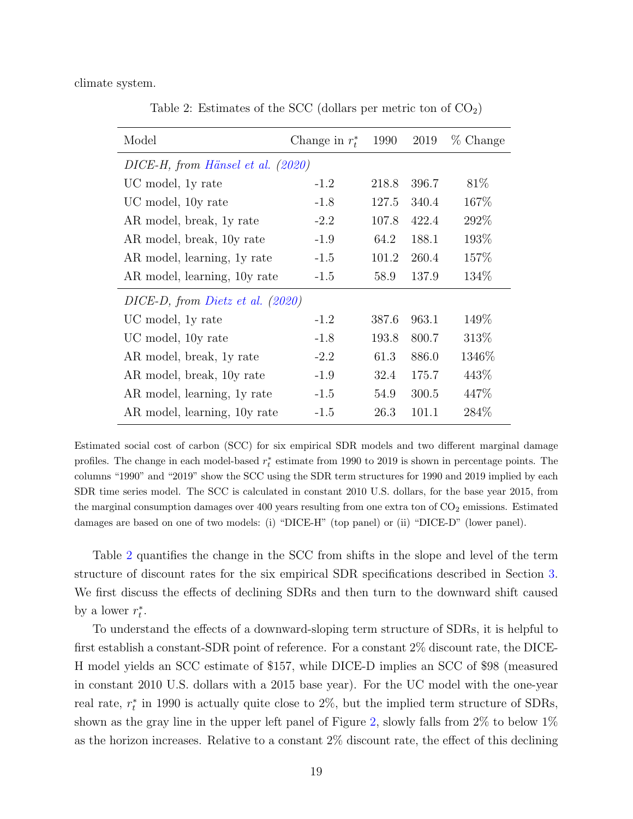<span id="page-20-0"></span>climate system.

Table 2: Estimates of the SCC (dollars per metric ton of  $CO<sub>2</sub>$ )

| Model                               | Change in $r_t^*$ | 1990  | 2019  | % Change |  |  |  |  |  |
|-------------------------------------|-------------------|-------|-------|----------|--|--|--|--|--|
| DICE-H, from Hänsel et al. (2020)   |                   |       |       |          |  |  |  |  |  |
| UC model, 1y rate                   | $-1.2$            | 218.8 | 396.7 | 81\%     |  |  |  |  |  |
| UC model, 10y rate                  | $-1.8$            | 127.5 | 340.4 | 167\%    |  |  |  |  |  |
| AR model, break, 1y rate            | $-2.2$            | 107.8 | 422.4 | 292\%    |  |  |  |  |  |
| AR model, break, 10y rate           | $-1.9$            | 64.2  | 188.1 | 193\%    |  |  |  |  |  |
| AR model, learning, 1y rate         | $-1.5$            | 101.2 | 260.4 | 157\%    |  |  |  |  |  |
| AR model, learning, 10y rate        | $-1.5$            | 58.9  | 137.9 | 134\%    |  |  |  |  |  |
| $DICE-D$ , from Dietz et al. (2020) |                   |       |       |          |  |  |  |  |  |
| UC model, 1y rate                   | $-1.2$            | 387.6 | 963.1 | 149\%    |  |  |  |  |  |
| UC model, 10y rate                  | $-1.8$            | 193.8 | 800.7 | 313\%    |  |  |  |  |  |
| AR model, break, 1y rate            | $-2.2$            | 61.3  | 886.0 | 1346\%   |  |  |  |  |  |
| AR model, break, 10y rate           | $-1.9$            | 32.4  | 175.7 | 443\%    |  |  |  |  |  |
| AR model, learning, 1y rate         | $-1.5$            | 54.9  | 300.5 | 447\%    |  |  |  |  |  |
| AR model, learning, 10y rate        | $-1.5$            | 26.3  | 101.1 | 284\%    |  |  |  |  |  |

Estimated social cost of carbon (SCC) for six empirical SDR models and two different marginal damage profiles. The change in each model-based  $r_t^*$  estimate from 1990 to 2019 is shown in percentage points. The columns "1990" and "2019" show the SCC using the SDR term structures for 1990 and 2019 implied by each SDR time series model. The SCC is calculated in constant 2010 U.S. dollars, for the base year 2015, from the marginal consumption damages over 400 years resulting from one extra ton of  $CO<sub>2</sub>$  emissions. Estimated damages are based on one of two models: (i) "DICE-H" (top panel) or (ii) "DICE-D" (lower panel).

Table [2](#page-20-0) quantifies the change in the SCC from shifts in the slope and level of the term structure of discount rates for the six empirical SDR specifications described in Section [3.](#page-9-3) We first discuss the effects of declining SDRs and then turn to the downward shift caused by a lower  $r_t^*$ .

To understand the effects of a downward-sloping term structure of SDRs, it is helpful to first establish a constant-SDR point of reference. For a constant 2% discount rate, the DICE-H model yields an SCC estimate of \$157, while DICE-D implies an SCC of \$98 (measured in constant 2010 U.S. dollars with a 2015 base year). For the UC model with the one-year real rate,  $r_t^*$  in 1990 is actually quite close to 2%, but the implied term structure of SDRs, shown as the gray line in the upper left panel of Figure [2,](#page-17-0) slowly falls from 2% to below 1% as the horizon increases. Relative to a constant 2% discount rate, the effect of this declining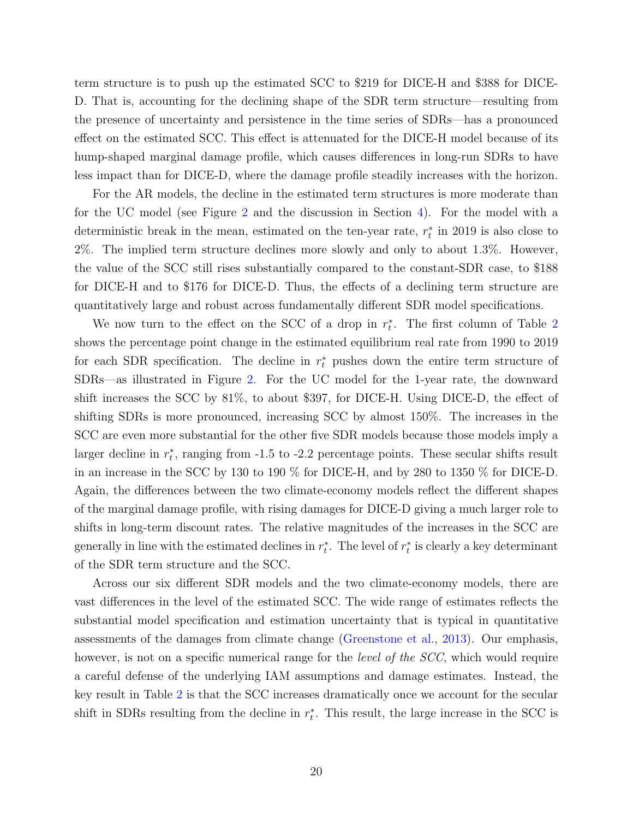term structure is to push up the estimated SCC to \$219 for DICE-H and \$388 for DICE-D. That is, accounting for the declining shape of the SDR term structure—resulting from the presence of uncertainty and persistence in the time series of SDRs—has a pronounced effect on the estimated SCC. This effect is attenuated for the DICE-H model because of its hump-shaped marginal damage profile, which causes differences in long-run SDRs to have less impact than for DICE-D, where the damage profile steadily increases with the horizon.

For the AR models, the decline in the estimated term structures is more moderate than for the UC model (see Figure [2](#page-17-0) and the discussion in Section [4\)](#page-14-0). For the model with a deterministic break in the mean, estimated on the ten-year rate,  $r_t^*$  in 2019 is also close to 2%. The implied term structure declines more slowly and only to about 1.3%. However, the value of the SCC still rises substantially compared to the constant-SDR case, to \$188 for DICE-H and to \$176 for DICE-D. Thus, the effects of a declining term structure are quantitatively large and robust across fundamentally different SDR model specifications.

We now turn to the effect on the SCC of a drop in  $r_t^*$ . The first column of Table [2](#page-20-0) shows the percentage point change in the estimated equilibrium real rate from 1990 to 2019 for each SDR specification. The decline in  $r_t^*$  pushes down the entire term structure of SDRs—as illustrated in Figure [2.](#page-17-0) For the UC model for the 1-year rate, the downward shift increases the SCC by 81%, to about \$397, for DICE-H. Using DICE-D, the effect of shifting SDRs is more pronounced, increasing SCC by almost 150%. The increases in the SCC are even more substantial for the other five SDR models because those models imply a larger decline in  $r_t^*$ , ranging from -1.5 to -2.2 percentage points. These secular shifts result in an increase in the SCC by 130 to 190 % for DICE-H, and by 280 to 1350 % for DICE-D. Again, the differences between the two climate-economy models reflect the different shapes of the marginal damage profile, with rising damages for DICE-D giving a much larger role to shifts in long-term discount rates. The relative magnitudes of the increases in the SCC are generally in line with the estimated declines in  $r_t^*$ . The level of  $r_t^*$  is clearly a key determinant of the SDR term structure and the SCC.

Across our six different SDR models and the two climate-economy models, there are vast differences in the level of the estimated SCC. The wide range of estimates reflects the substantial model specification and estimation uncertainty that is typical in quantitative assessments of the damages from climate change [\(Greenstone et al.,](#page-32-6) [2013\)](#page-32-6). Our emphasis, however, is not on a specific numerical range for the *level of the SCC*, which would require a careful defense of the underlying IAM assumptions and damage estimates. Instead, the key result in Table [2](#page-20-0) is that the SCC increases dramatically once we account for the secular shift in SDRs resulting from the decline in  $r_t^*$ . This result, the large increase in the SCC is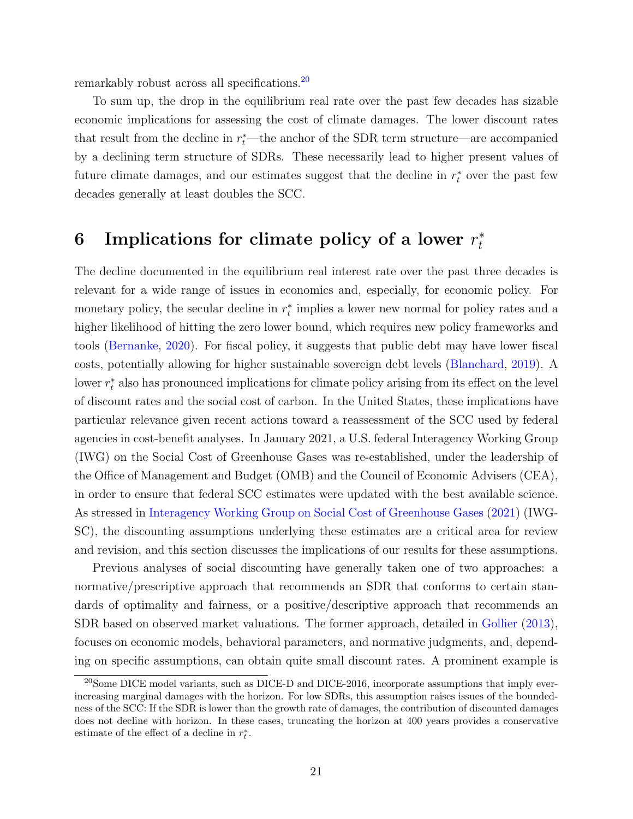remarkably robust across all specifications.[20](#page-22-1)

To sum up, the drop in the equilibrium real rate over the past few decades has sizable economic implications for assessing the cost of climate damages. The lower discount rates that result from the decline in  $r_t^*$ —the anchor of the SDR term structure—are accompanied by a declining term structure of SDRs. These necessarily lead to higher present values of future climate damages, and our estimates suggest that the decline in  $r_t^*$  over the past few decades generally at least doubles the SCC.

#### <span id="page-22-0"></span>6 Implications for climate policy of a lower  $r_t^*$ t

The decline documented in the equilibrium real interest rate over the past three decades is relevant for a wide range of issues in economics and, especially, for economic policy. For monetary policy, the secular decline in  $r_t^*$  implies a lower new normal for policy rates and a higher likelihood of hitting the zero lower bound, which requires new policy frameworks and tools [\(Bernanke,](#page-29-3) [2020\)](#page-29-3). For fiscal policy, it suggests that public debt may have lower fiscal costs, potentially allowing for higher sustainable sovereign debt levels [\(Blanchard,](#page-30-7) [2019\)](#page-30-7). A lower  $r_t^*$  also has pronounced implications for climate policy arising from its effect on the level of discount rates and the social cost of carbon. In the United States, these implications have particular relevance given recent actions toward a reassessment of the SCC used by federal agencies in cost-benefit analyses. In January 2021, a U.S. federal Interagency Working Group (IWG) on the Social Cost of Greenhouse Gases was re-established, under the leadership of the Office of Management and Budget (OMB) and the Council of Economic Advisers (CEA), in order to ensure that federal SCC estimates were updated with the best available science. As stressed in [Interagency Working Group on Social Cost of Greenhouse Gases](#page-33-7) [\(2021\)](#page-33-7) (IWG-SC), the discounting assumptions underlying these estimates are a critical area for review and revision, and this section discusses the implications of our results for these assumptions.

Previous analyses of social discounting have generally taken one of two approaches: a normative/prescriptive approach that recommends an SDR that conforms to certain standards of optimality and fairness, or a positive/descriptive approach that recommends an SDR based on observed market valuations. The former approach, detailed in [Gollier](#page-32-8) [\(2013\)](#page-32-8), focuses on economic models, behavioral parameters, and normative judgments, and, depending on specific assumptions, can obtain quite small discount rates. A prominent example is

<span id="page-22-1"></span><sup>&</sup>lt;sup>20</sup>Some DICE model variants, such as DICE-D and DICE-2016, incorporate assumptions that imply everincreasing marginal damages with the horizon. For low SDRs, this assumption raises issues of the boundedness of the SCC: If the SDR is lower than the growth rate of damages, the contribution of discounted damages does not decline with horizon. In these cases, truncating the horizon at 400 years provides a conservative estimate of the effect of a decline in  $r_t^*$ .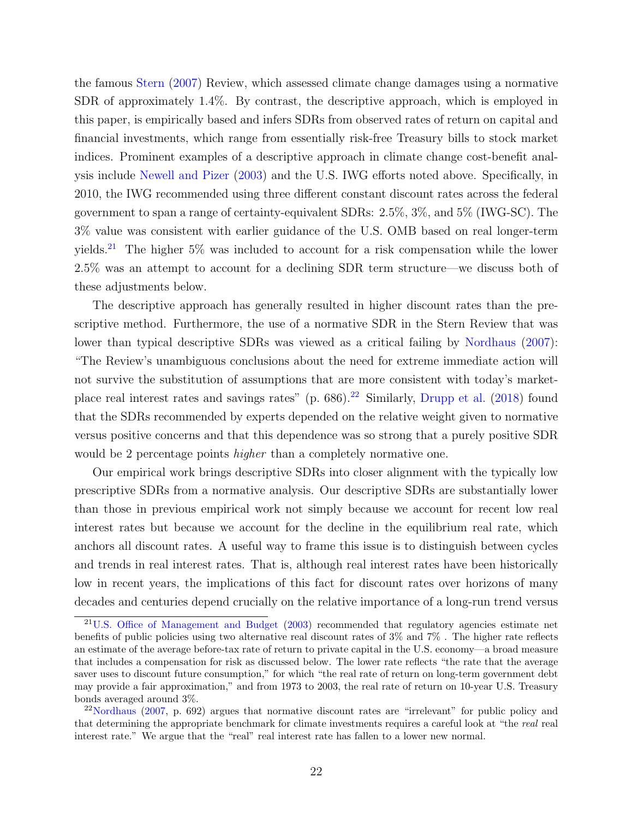the famous [Stern](#page-34-2) [\(2007\)](#page-34-2) Review, which assessed climate change damages using a normative SDR of approximately 1.4%. By contrast, the descriptive approach, which is employed in this paper, is empirically based and infers SDRs from observed rates of return on capital and financial investments, which range from essentially risk-free Treasury bills to stock market indices. Prominent examples of a descriptive approach in climate change cost-benefit analysis include [Newell and Pizer](#page-33-0) [\(2003\)](#page-33-0) and the U.S. IWG efforts noted above. Specifically, in 2010, the IWG recommended using three different constant discount rates across the federal government to span a range of certainty-equivalent SDRs: 2.5%, 3%, and 5% (IWG-SC). The 3% value was consistent with earlier guidance of the U.S. OMB based on real longer-term yields.[21](#page-23-0) The higher 5% was included to account for a risk compensation while the lower 2.5% was an attempt to account for a declining SDR term structure—we discuss both of these adjustments below.

The descriptive approach has generally resulted in higher discount rates than the prescriptive method. Furthermore, the use of a normative SDR in the Stern Review that was lower than typical descriptive SDRs was viewed as a critical failing by [Nordhaus](#page-33-8) [\(2007\)](#page-33-8): "The Review's unambiguous conclusions about the need for extreme immediate action will not survive the substitution of assumptions that are more consistent with today's marketplace real interest rates and savings rates" (p.  $686$ ).<sup>[22](#page-23-1)</sup> Similarly, [Drupp et al.](#page-31-0) [\(2018\)](#page-31-0) found that the SDRs recommended by experts depended on the relative weight given to normative versus positive concerns and that this dependence was so strong that a purely positive SDR would be 2 percentage points *higher* than a completely normative one.

Our empirical work brings descriptive SDRs into closer alignment with the typically low prescriptive SDRs from a normative analysis. Our descriptive SDRs are substantially lower than those in previous empirical work not simply because we account for recent low real interest rates but because we account for the decline in the equilibrium real rate, which anchors all discount rates. A useful way to frame this issue is to distinguish between cycles and trends in real interest rates. That is, although real interest rates have been historically low in recent years, the implications of this fact for discount rates over horizons of many decades and centuries depend crucially on the relative importance of a long-run trend versus

<span id="page-23-0"></span><sup>&</sup>lt;sup>21</sup>[U.S. Office of Management and Budget](#page-34-10) [\(2003\)](#page-34-10) recommended that regulatory agencies estimate net benefits of public policies using two alternative real discount rates of 3% and 7% . The higher rate reflects an estimate of the average before-tax rate of return to private capital in the U.S. economy—a broad measure that includes a compensation for risk as discussed below. The lower rate reflects "the rate that the average saver uses to discount future consumption," for which "the real rate of return on long-term government debt may provide a fair approximation," and from 1973 to 2003, the real rate of return on 10-year U.S. Treasury bonds averaged around 3%.

<span id="page-23-1"></span> $2^{2}$ [Nordhaus](#page-33-8) [\(2007,](#page-33-8) p. 692) argues that normative discount rates are "irrelevant" for public policy and that determining the appropriate benchmark for climate investments requires a careful look at "the real real" interest rate." We argue that the "real" real interest rate has fallen to a lower new normal.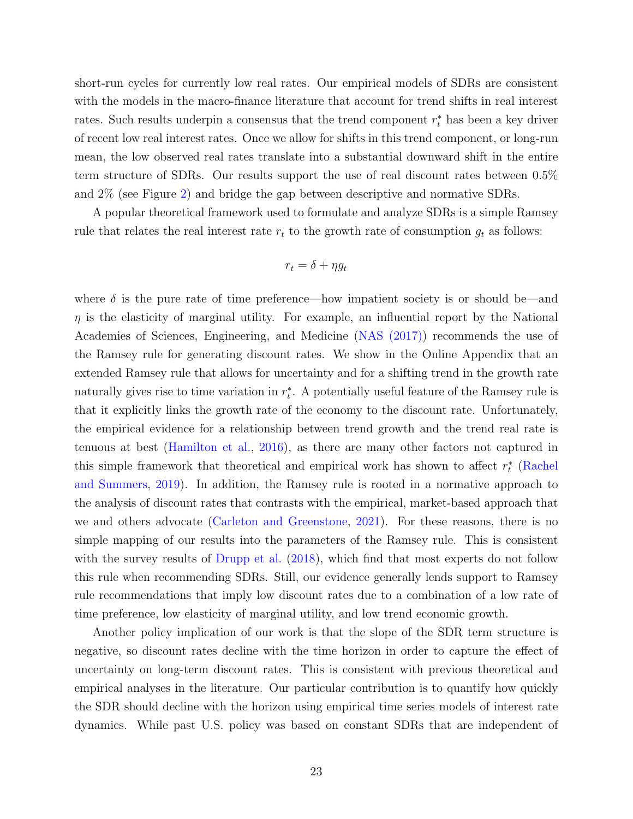short-run cycles for currently low real rates. Our empirical models of SDRs are consistent with the models in the macro-finance literature that account for trend shifts in real interest rates. Such results underpin a consensus that the trend component  $r_t^*$  has been a key driver of recent low real interest rates. Once we allow for shifts in this trend component, or long-run mean, the low observed real rates translate into a substantial downward shift in the entire term structure of SDRs. Our results support the use of real discount rates between 0.5% and 2% (see Figure [2\)](#page-17-0) and bridge the gap between descriptive and normative SDRs.

A popular theoretical framework used to formulate and analyze SDRs is a simple Ramsey rule that relates the real interest rate  $r_t$  to the growth rate of consumption  $g_t$  as follows:

$$
r_t = \delta + \eta g_t
$$

where  $\delta$  is the pure rate of time preference—how impatient society is or should be—and  $\eta$  is the elasticity of marginal utility. For example, an influential report by the National Academies of Sciences, Engineering, and Medicine [\(NAS \(2017\)\)](#page-33-5) recommends the use of the Ramsey rule for generating discount rates. We show in the Online Appendix that an extended Ramsey rule that allows for uncertainty and for a shifting trend in the growth rate naturally gives rise to time variation in  $r_t^*$ . A potentially useful feature of the Ramsey rule is that it explicitly links the growth rate of the economy to the discount rate. Unfortunately, the empirical evidence for a relationship between trend growth and the trend real rate is tenuous at best [\(Hamilton et al.,](#page-32-0) [2016\)](#page-32-0), as there are many other factors not captured in this simple framework that theoretical and empirical work has shown to affect  $r_t^*$  [\(Rachel](#page-34-3) [and Summers,](#page-34-3) [2019\)](#page-34-3). In addition, the Ramsey rule is rooted in a normative approach to the analysis of discount rates that contrasts with the empirical, market-based approach that we and others advocate [\(Carleton and Greenstone,](#page-30-8) [2021\)](#page-30-8). For these reasons, there is no simple mapping of our results into the parameters of the Ramsey rule. This is consistent with the survey results of [Drupp et al.](#page-31-0)  $(2018)$ , which find that most experts do not follow this rule when recommending SDRs. Still, our evidence generally lends support to Ramsey rule recommendations that imply low discount rates due to a combination of a low rate of time preference, low elasticity of marginal utility, and low trend economic growth.

Another policy implication of our work is that the slope of the SDR term structure is negative, so discount rates decline with the time horizon in order to capture the effect of uncertainty on long-term discount rates. This is consistent with previous theoretical and empirical analyses in the literature. Our particular contribution is to quantify how quickly the SDR should decline with the horizon using empirical time series models of interest rate dynamics. While past U.S. policy was based on constant SDRs that are independent of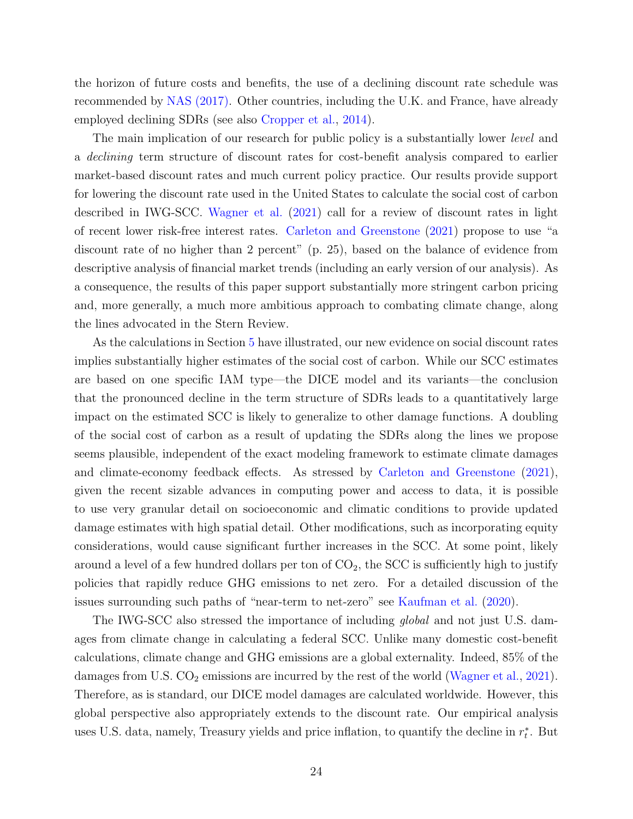the horizon of future costs and benefits, the use of a declining discount rate schedule was recommended by [NAS \(2017\).](#page-33-5) Other countries, including the U.K. and France, have already employed declining SDRs (see also [Cropper et al.,](#page-30-3) [2014\)](#page-30-3).

The main implication of our research for public policy is a substantially lower *level* and a declining term structure of discount rates for cost-benefit analysis compared to earlier market-based discount rates and much current policy practice. Our results provide support for lowering the discount rate used in the United States to calculate the social cost of carbon described in IWG-SCC. [Wagner et al.](#page-34-11) [\(2021\)](#page-34-11) call for a review of discount rates in light of recent lower risk-free interest rates. [Carleton and Greenstone](#page-30-8) [\(2021\)](#page-30-8) propose to use "a discount rate of no higher than 2 percent" (p. 25), based on the balance of evidence from descriptive analysis of financial market trends (including an early version of our analysis). As a consequence, the results of this paper support substantially more stringent carbon pricing and, more generally, a much more ambitious approach to combating climate change, along the lines advocated in the Stern Review.

As the calculations in Section [5](#page-18-0) have illustrated, our new evidence on social discount rates implies substantially higher estimates of the social cost of carbon. While our SCC estimates are based on one specific IAM type—the DICE model and its variants—the conclusion that the pronounced decline in the term structure of SDRs leads to a quantitatively large impact on the estimated SCC is likely to generalize to other damage functions. A doubling of the social cost of carbon as a result of updating the SDRs along the lines we propose seems plausible, independent of the exact modeling framework to estimate climate damages and climate-economy feedback effects. As stressed by [Carleton and Greenstone](#page-30-8) [\(2021\)](#page-30-8), given the recent sizable advances in computing power and access to data, it is possible to use very granular detail on socioeconomic and climatic conditions to provide updated damage estimates with high spatial detail. Other modifications, such as incorporating equity considerations, would cause significant further increases in the SCC. At some point, likely around a level of a few hundred dollars per ton of  $CO<sub>2</sub>$ , the SCC is sufficiently high to justify policies that rapidly reduce GHG emissions to net zero. For a detailed discussion of the issues surrounding such paths of "near-term to net-zero" see [Kaufman et al.](#page-33-9) [\(2020\)](#page-33-9).

The IWG-SCC also stressed the importance of including *global* and not just U.S. damages from climate change in calculating a federal SCC. Unlike many domestic cost-benefit calculations, climate change and GHG emissions are a global externality. Indeed, 85% of the damages from U.S.  $CO_2$  emissions are incurred by the rest of the world [\(Wagner et al.,](#page-34-11) [2021\)](#page-34-11). Therefore, as is standard, our DICE model damages are calculated worldwide. However, this global perspective also appropriately extends to the discount rate. Our empirical analysis uses U.S. data, namely, Treasury yields and price inflation, to quantify the decline in  $r_t^*$ . But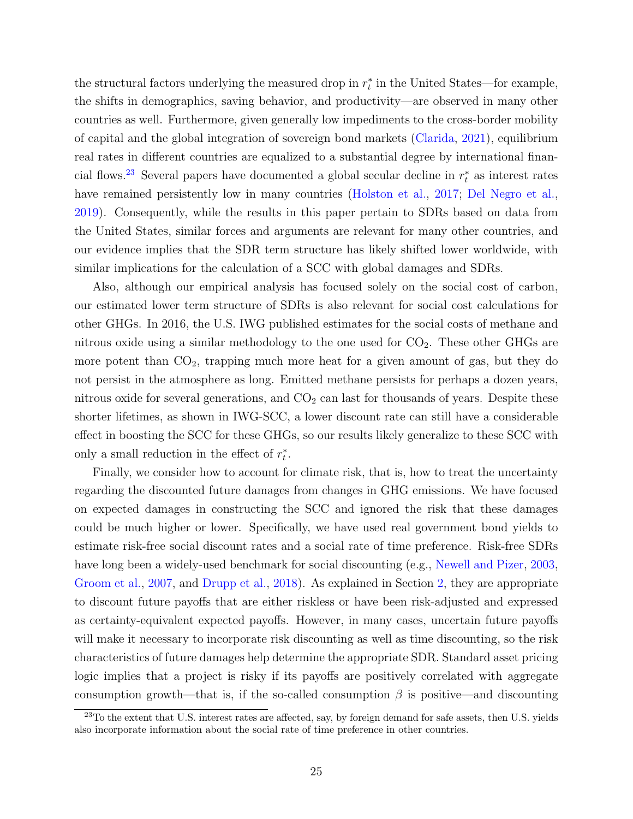the structural factors underlying the measured drop in  $r_t^*$  in the United States—for example, the shifts in demographics, saving behavior, and productivity—are observed in many other countries as well. Furthermore, given generally low impediments to the cross-border mobility of capital and the global integration of sovereign bond markets [\(Clarida,](#page-30-9) [2021\)](#page-30-9), equilibrium real rates in different countries are equalized to a substantial degree by international finan-cial flows.<sup>[23](#page-26-0)</sup> Several papers have documented a global secular decline in  $r_t^*$  as interest rates have remained persistently low in many countries [\(Holston et al.,](#page-33-1) [2017;](#page-33-1) [Del Negro et al.,](#page-31-7) [2019\)](#page-31-7). Consequently, while the results in this paper pertain to SDRs based on data from the United States, similar forces and arguments are relevant for many other countries, and our evidence implies that the SDR term structure has likely shifted lower worldwide, with similar implications for the calculation of a SCC with global damages and SDRs.

Also, although our empirical analysis has focused solely on the social cost of carbon, our estimated lower term structure of SDRs is also relevant for social cost calculations for other GHGs. In 2016, the U.S. IWG published estimates for the social costs of methane and nitrous oxide using a similar methodology to the one used for  $CO<sub>2</sub>$ . These other GHGs are more potent than  $CO<sub>2</sub>$ , trapping much more heat for a given amount of gas, but they do not persist in the atmosphere as long. Emitted methane persists for perhaps a dozen years, nitrous oxide for several generations, and  $CO<sub>2</sub>$  can last for thousands of years. Despite these shorter lifetimes, as shown in IWG-SCC, a lower discount rate can still have a considerable effect in boosting the SCC for these GHGs, so our results likely generalize to these SCC with only a small reduction in the effect of  $r_t^*$ .

Finally, we consider how to account for climate risk, that is, how to treat the uncertainty regarding the discounted future damages from changes in GHG emissions. We have focused on expected damages in constructing the SCC and ignored the risk that these damages could be much higher or lower. Specifically, we have used real government bond yields to estimate risk-free social discount rates and a social rate of time preference. Risk-free SDRs have long been a widely-used benchmark for social discounting (e.g., [Newell and Pizer,](#page-33-0) [2003,](#page-33-0) [Groom et al.,](#page-32-1) [2007,](#page-32-1) and [Drupp et al.,](#page-31-0) [2018\)](#page-31-0). As explained in Section [2,](#page-5-1) they are appropriate to discount future payoffs that are either riskless or have been risk-adjusted and expressed as certainty-equivalent expected payoffs. However, in many cases, uncertain future payoffs will make it necessary to incorporate risk discounting as well as time discounting, so the risk characteristics of future damages help determine the appropriate SDR. Standard asset pricing logic implies that a project is risky if its payoffs are positively correlated with aggregate consumption growth—that is, if the so-called consumption  $\beta$  is positive—and discounting

<span id="page-26-0"></span><sup>&</sup>lt;sup>23</sup>To the extent that U.S. interest rates are affected, say, by foreign demand for safe assets, then U.S. yields also incorporate information about the social rate of time preference in other countries.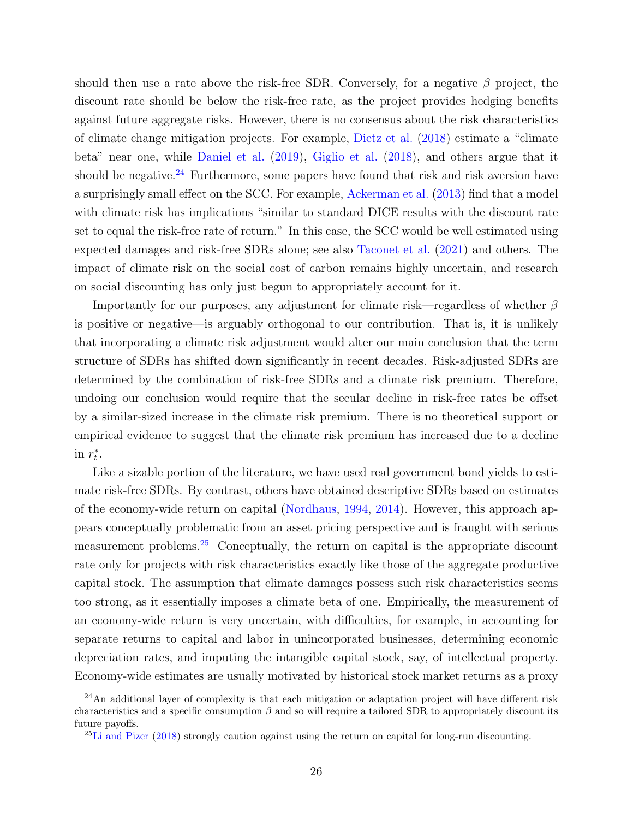should then use a rate above the risk-free SDR. Conversely, for a negative  $\beta$  project, the discount rate should be below the risk-free rate, as the project provides hedging benefits against future aggregate risks. However, there is no consensus about the risk characteristics of climate change mitigation projects. For example, [Dietz et al.](#page-31-8) [\(2018\)](#page-31-8) estimate a "climate beta" near one, while [Daniel et al.](#page-30-10) [\(2019\)](#page-30-10), [Giglio et al.](#page-32-9) [\(2018\)](#page-32-9), and others argue that it should be negative.<sup>[24](#page-27-0)</sup> Furthermore, some papers have found that risk and risk aversion have a surprisingly small effect on the SCC. For example, [Ackerman et al.](#page-29-4) [\(2013\)](#page-29-4) find that a model with climate risk has implications "similar to standard DICE results with the discount rate set to equal the risk-free rate of return." In this case, the SCC would be well estimated using expected damages and risk-free SDRs alone; see also [Taconet et al.](#page-34-12) [\(2021\)](#page-34-12) and others. The impact of climate risk on the social cost of carbon remains highly uncertain, and research on social discounting has only just begun to appropriately account for it.

Importantly for our purposes, any adjustment for climate risk—regardless of whether  $\beta$ is positive or negative—is arguably orthogonal to our contribution. That is, it is unlikely that incorporating a climate risk adjustment would alter our main conclusion that the term structure of SDRs has shifted down significantly in recent decades. Risk-adjusted SDRs are determined by the combination of risk-free SDRs and a climate risk premium. Therefore, undoing our conclusion would require that the secular decline in risk-free rates be offset by a similar-sized increase in the climate risk premium. There is no theoretical support or empirical evidence to suggest that the climate risk premium has increased due to a decline in  $r_t^*$ .

Like a sizable portion of the literature, we have used real government bond yields to estimate risk-free SDRs. By contrast, others have obtained descriptive SDRs based on estimates of the economy-wide return on capital [\(Nordhaus,](#page-33-6) [1994,](#page-33-6) [2014\)](#page-33-10). However, this approach appears conceptually problematic from an asset pricing perspective and is fraught with serious measurement problems.[25](#page-27-1) Conceptually, the return on capital is the appropriate discount rate only for projects with risk characteristics exactly like those of the aggregate productive capital stock. The assumption that climate damages possess such risk characteristics seems too strong, as it essentially imposes a climate beta of one. Empirically, the measurement of an economy-wide return is very uncertain, with difficulties, for example, in accounting for separate returns to capital and labor in unincorporated businesses, determining economic depreciation rates, and imputing the intangible capital stock, say, of intellectual property. Economy-wide estimates are usually motivated by historical stock market returns as a proxy

<span id="page-27-0"></span> $^{24}$ An additional layer of complexity is that each mitigation or adaptation project will have different risk characteristics and a specific consumption  $\beta$  and so will require a tailored SDR to appropriately discount its future payoffs.

<span id="page-27-1"></span> ${}^{25}$ [Li and Pizer](#page-33-11) [\(2018\)](#page-33-11) strongly caution against using the return on capital for long-run discounting.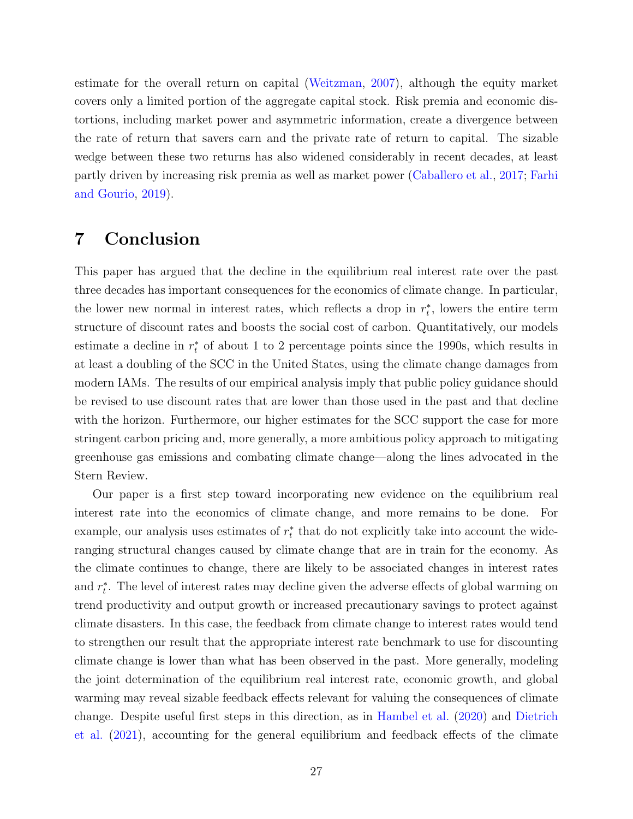estimate for the overall return on capital [\(Weitzman,](#page-35-2) [2007\)](#page-35-2), although the equity market covers only a limited portion of the aggregate capital stock. Risk premia and economic distortions, including market power and asymmetric information, create a divergence between the rate of return that savers earn and the private rate of return to capital. The sizable wedge between these two returns has also widened considerably in recent decades, at least partly driven by increasing risk premia as well as market power [\(Caballero et al.,](#page-30-11) [2017;](#page-30-11) [Farhi](#page-31-9) [and Gourio,](#page-31-9) [2019\)](#page-31-9).

## 7 Conclusion

This paper has argued that the decline in the equilibrium real interest rate over the past three decades has important consequences for the economics of climate change. In particular, the lower new normal in interest rates, which reflects a drop in  $r_t^*$ , lowers the entire term structure of discount rates and boosts the social cost of carbon. Quantitatively, our models estimate a decline in  $r_t^*$  of about 1 to 2 percentage points since the 1990s, which results in at least a doubling of the SCC in the United States, using the climate change damages from modern IAMs. The results of our empirical analysis imply that public policy guidance should be revised to use discount rates that are lower than those used in the past and that decline with the horizon. Furthermore, our higher estimates for the SCC support the case for more stringent carbon pricing and, more generally, a more ambitious policy approach to mitigating greenhouse gas emissions and combating climate change—along the lines advocated in the Stern Review.

Our paper is a first step toward incorporating new evidence on the equilibrium real interest rate into the economics of climate change, and more remains to be done. For example, our analysis uses estimates of  $r_t^*$  that do not explicitly take into account the wideranging structural changes caused by climate change that are in train for the economy. As the climate continues to change, there are likely to be associated changes in interest rates and  $r_t^*$ . The level of interest rates may decline given the adverse effects of global warming on trend productivity and output growth or increased precautionary savings to protect against climate disasters. In this case, the feedback from climate change to interest rates would tend to strengthen our result that the appropriate interest rate benchmark to use for discounting climate change is lower than what has been observed in the past. More generally, modeling the joint determination of the equilibrium real interest rate, economic growth, and global warming may reveal sizable feedback effects relevant for valuing the consequences of climate change. Despite useful first steps in this direction, as in [Hambel et al.](#page-32-10) [\(2020\)](#page-32-10) and [Dietrich](#page-31-10) [et al.](#page-31-10) [\(2021\)](#page-31-10), accounting for the general equilibrium and feedback effects of the climate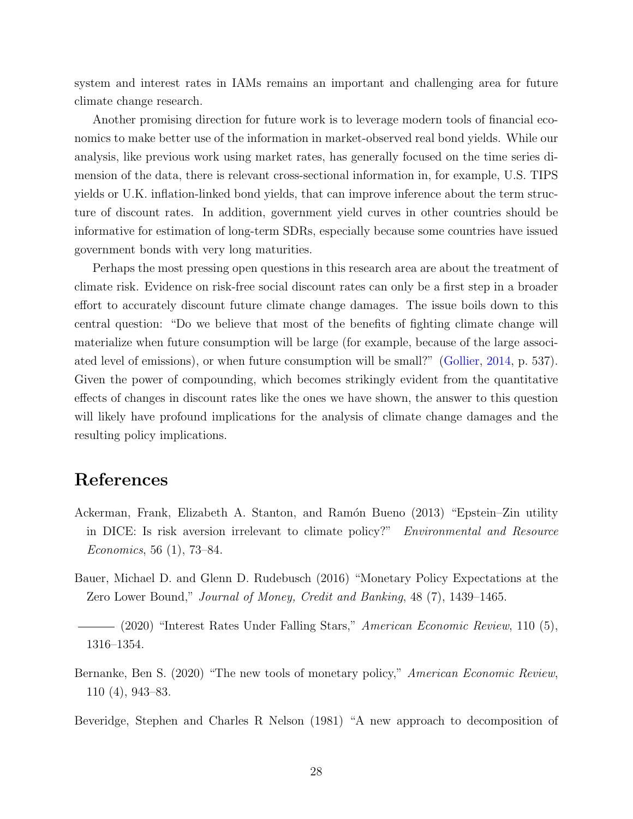system and interest rates in IAMs remains an important and challenging area for future climate change research.

Another promising direction for future work is to leverage modern tools of financial economics to make better use of the information in market-observed real bond yields. While our analysis, like previous work using market rates, has generally focused on the time series dimension of the data, there is relevant cross-sectional information in, for example, U.S. TIPS yields or U.K. inflation-linked bond yields, that can improve inference about the term structure of discount rates. In addition, government yield curves in other countries should be informative for estimation of long-term SDRs, especially because some countries have issued government bonds with very long maturities.

Perhaps the most pressing open questions in this research area are about the treatment of climate risk. Evidence on risk-free social discount rates can only be a first step in a broader effort to accurately discount future climate change damages. The issue boils down to this central question: "Do we believe that most of the benefits of fighting climate change will materialize when future consumption will be large (for example, because of the large associated level of emissions), or when future consumption will be small?" [\(Gollier,](#page-32-11) [2014,](#page-32-11) p. 537). Given the power of compounding, which becomes strikingly evident from the quantitative effects of changes in discount rates like the ones we have shown, the answer to this question will likely have profound implications for the analysis of climate change damages and the resulting policy implications.

## References

- <span id="page-29-4"></span>Ackerman, Frank, Elizabeth A. Stanton, and Ramón Bueno (2013) "Epstein–Zin utility in DICE: Is risk aversion irrelevant to climate policy?" Environmental and Resource Economics, 56 (1), 73–84.
- <span id="page-29-2"></span>Bauer, Michael D. and Glenn D. Rudebusch (2016) "Monetary Policy Expectations at the Zero Lower Bound," Journal of Money, Credit and Banking, 48 (7), 1439–1465.

<span id="page-29-0"></span>(2020) "Interest Rates Under Falling Stars," American Economic Review, 110 (5), 1316–1354.

<span id="page-29-3"></span>Bernanke, Ben S. (2020) "The new tools of monetary policy," American Economic Review, 110 (4), 943–83.

<span id="page-29-1"></span>Beveridge, Stephen and Charles R Nelson (1981) "A new approach to decomposition of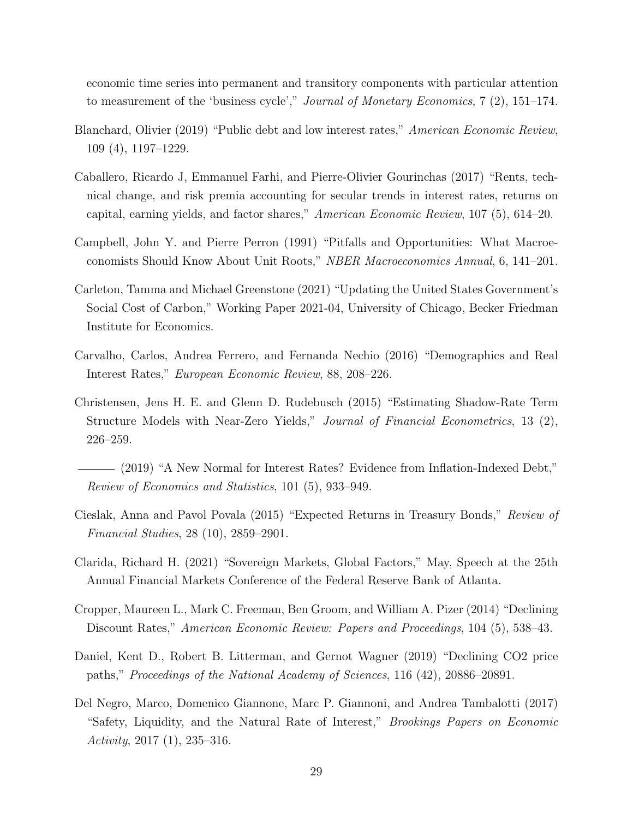economic time series into permanent and transitory components with particular attention to measurement of the 'business cycle'," Journal of Monetary Economics, 7 (2), 151–174.

- <span id="page-30-7"></span>Blanchard, Olivier (2019) "Public debt and low interest rates," American Economic Review, 109 (4), 1197–1229.
- <span id="page-30-11"></span>Caballero, Ricardo J, Emmanuel Farhi, and Pierre-Olivier Gourinchas (2017) "Rents, technical change, and risk premia accounting for secular trends in interest rates, returns on capital, earning yields, and factor shares," American Economic Review, 107 (5), 614–20.
- <span id="page-30-4"></span>Campbell, John Y. and Pierre Perron (1991) "Pitfalls and Opportunities: What Macroeconomists Should Know About Unit Roots," NBER Macroeconomics Annual, 6, 141–201.
- <span id="page-30-8"></span>Carleton, Tamma and Michael Greenstone (2021) "Updating the United States Government's Social Cost of Carbon," Working Paper 2021-04, University of Chicago, Becker Friedman Institute for Economics.
- <span id="page-30-2"></span>Carvalho, Carlos, Andrea Ferrero, and Fernanda Nechio (2016) "Demographics and Real Interest Rates," European Economic Review, 88, 208–226.
- <span id="page-30-6"></span>Christensen, Jens H. E. and Glenn D. Rudebusch (2015) "Estimating Shadow-Rate Term Structure Models with Near-Zero Yields," Journal of Financial Econometrics, 13 (2), 226–259.
- <span id="page-30-1"></span>(2019) "A New Normal for Interest Rates? Evidence from Inflation-Indexed Debt," Review of Economics and Statistics, 101 (5), 933–949.
- <span id="page-30-5"></span>Cieslak, Anna and Pavol Povala (2015) "Expected Returns in Treasury Bonds," Review of Financial Studies, 28 (10), 2859–2901.
- <span id="page-30-9"></span>Clarida, Richard H. (2021) "Sovereign Markets, Global Factors," May, Speech at the 25th Annual Financial Markets Conference of the Federal Reserve Bank of Atlanta.
- <span id="page-30-3"></span>Cropper, Maureen L., Mark C. Freeman, Ben Groom, and William A. Pizer (2014) "Declining Discount Rates," American Economic Review: Papers and Proceedings, 104 (5), 538–43.
- <span id="page-30-10"></span>Daniel, Kent D., Robert B. Litterman, and Gernot Wagner (2019) "Declining CO2 price paths," Proceedings of the National Academy of Sciences, 116 (42), 20886–20891.
- <span id="page-30-0"></span>Del Negro, Marco, Domenico Giannone, Marc P. Giannoni, and Andrea Tambalotti (2017) "Safety, Liquidity, and the Natural Rate of Interest," Brookings Papers on Economic Activity,  $2017(1)$ ,  $235-316$ .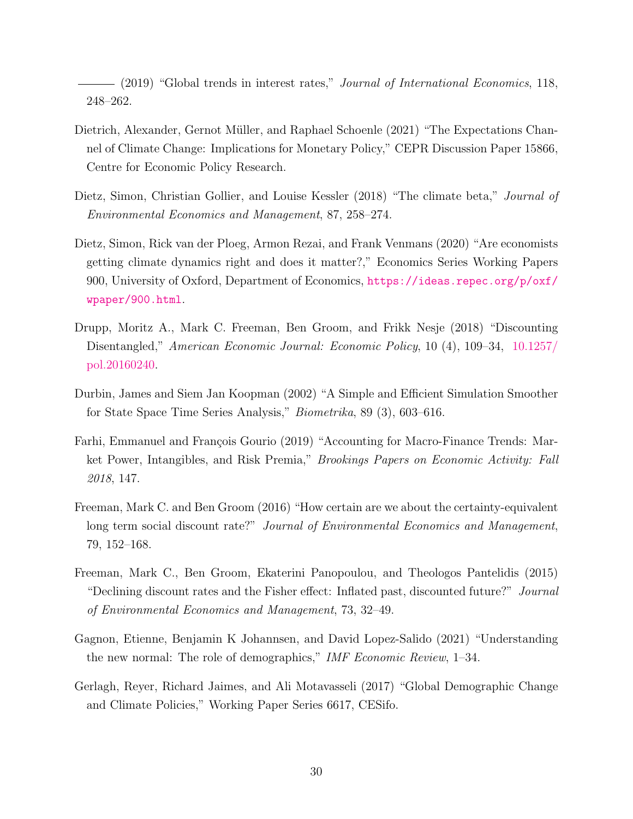<span id="page-31-7"></span>(2019) "Global trends in interest rates," Journal of International Economics, 118, 248–262.

- <span id="page-31-10"></span>Dietrich, Alexander, Gernot Müller, and Raphael Schoenle (2021) "The Expectations Channel of Climate Change: Implications for Monetary Policy," CEPR Discussion Paper 15866, Centre for Economic Policy Research.
- <span id="page-31-8"></span>Dietz, Simon, Christian Gollier, and Louise Kessler (2018) "The climate beta," *Journal of* Environmental Economics and Management, 87, 258–274.
- <span id="page-31-6"></span>Dietz, Simon, Rick van der Ploeg, Armon Rezai, and Frank Venmans (2020) "Are economists getting climate dynamics right and does it matter?," Economics Series Working Papers 900, University of Oxford, Department of Economics, [https://ideas.repec.org/p/oxf/](https://ideas.repec.org/p/oxf/wpaper/900.html) [wpaper/900.html](https://ideas.repec.org/p/oxf/wpaper/900.html).
- <span id="page-31-0"></span>Drupp, Moritz A., Mark C. Freeman, Ben Groom, and Frikk Nesje (2018) "Discounting Disentangled," American Economic Journal: Economic Policy, 10 (4), 109–34, [10.1257/](http://dx.doi.org/10.1257/pol.20160240) [pol.20160240.](http://dx.doi.org/10.1257/pol.20160240)
- <span id="page-31-5"></span>Durbin, James and Siem Jan Koopman (2002) "A Simple and Efficient Simulation Smoother for State Space Time Series Analysis," Biometrika, 89 (3), 603–616.
- <span id="page-31-9"></span>Farhi, Emmanuel and François Gourio (2019) "Accounting for Macro-Finance Trends: Market Power, Intangibles, and Risk Premia," Brookings Papers on Economic Activity: Fall 2018, 147.
- <span id="page-31-2"></span>Freeman, Mark C. and Ben Groom (2016) "How certain are we about the certainty-equivalent long term social discount rate?" Journal of Environmental Economics and Management, 79, 152–168.
- <span id="page-31-1"></span>Freeman, Mark C., Ben Groom, Ekaterini Panopoulou, and Theologos Pantelidis (2015) "Declining discount rates and the Fisher effect: Inflated past, discounted future?" Journal of Environmental Economics and Management, 73, 32–49.
- <span id="page-31-4"></span>Gagnon, Etienne, Benjamin K Johannsen, and David Lopez-Salido (2021) "Understanding the new normal: The role of demographics," IMF Economic Review, 1–34.
- <span id="page-31-3"></span>Gerlagh, Reyer, Richard Jaimes, and Ali Motavasseli (2017) "Global Demographic Change and Climate Policies," Working Paper Series 6617, CESifo.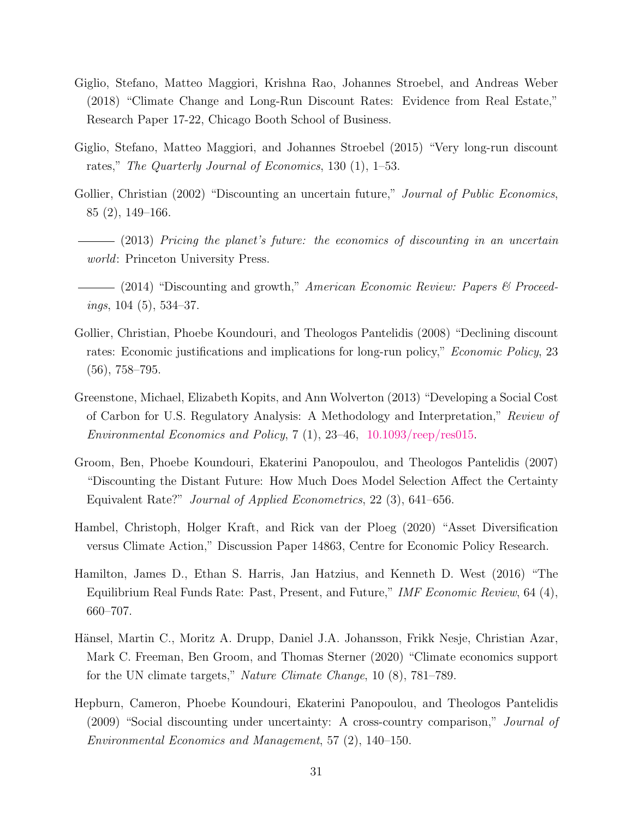- <span id="page-32-9"></span>Giglio, Stefano, Matteo Maggiori, Krishna Rao, Johannes Stroebel, and Andreas Weber (2018) "Climate Change and Long-Run Discount Rates: Evidence from Real Estate," Research Paper 17-22, Chicago Booth School of Business.
- <span id="page-32-5"></span>Giglio, Stefano, Matteo Maggiori, and Johannes Stroebel (2015) "Very long-run discount rates," The Quarterly Journal of Economics, 130 (1), 1–53.
- <span id="page-32-4"></span>Gollier, Christian (2002) "Discounting an uncertain future," *Journal of Public Economics*, 85 (2), 149–166.
- <span id="page-32-8"></span> $-$  (2013) Pricing the planet's future: the economics of discounting in an uncertain world: Princeton University Press.
- <span id="page-32-11"></span>(2014) "Discounting and growth," American Economic Review: Papers & Proceedings, 104 (5), 534–37.
- <span id="page-32-2"></span>Gollier, Christian, Phoebe Koundouri, and Theologos Pantelidis (2008) "Declining discount rates: Economic justifications and implications for long-run policy," Economic Policy, 23 (56), 758–795.
- <span id="page-32-6"></span>Greenstone, Michael, Elizabeth Kopits, and Ann Wolverton (2013) "Developing a Social Cost of Carbon for U.S. Regulatory Analysis: A Methodology and Interpretation," Review of Environmental Economics and Policy,  $7(1)$ ,  $23-46$ ,  $10.1093$ /reep/res015.
- <span id="page-32-1"></span>Groom, Ben, Phoebe Koundouri, Ekaterini Panopoulou, and Theologos Pantelidis (2007) "Discounting the Distant Future: How Much Does Model Selection Affect the Certainty Equivalent Rate?" Journal of Applied Econometrics, 22 (3), 641–656.
- <span id="page-32-10"></span>Hambel, Christoph, Holger Kraft, and Rick van der Ploeg (2020) "Asset Diversification versus Climate Action," Discussion Paper 14863, Centre for Economic Policy Research.
- <span id="page-32-0"></span>Hamilton, James D., Ethan S. Harris, Jan Hatzius, and Kenneth D. West (2016) "The Equilibrium Real Funds Rate: Past, Present, and Future," IMF Economic Review, 64 (4), 660–707.
- <span id="page-32-7"></span>Hänsel, Martin C., Moritz A. Drupp, Daniel J.A. Johansson, Frikk Nesje, Christian Azar, Mark C. Freeman, Ben Groom, and Thomas Sterner (2020) "Climate economics support for the UN climate targets," Nature Climate Change, 10 (8), 781–789.
- <span id="page-32-3"></span>Hepburn, Cameron, Phoebe Koundouri, Ekaterini Panopoulou, and Theologos Pantelidis (2009) "Social discounting under uncertainty: A cross-country comparison," Journal of Environmental Economics and Management, 57 (2), 140–150.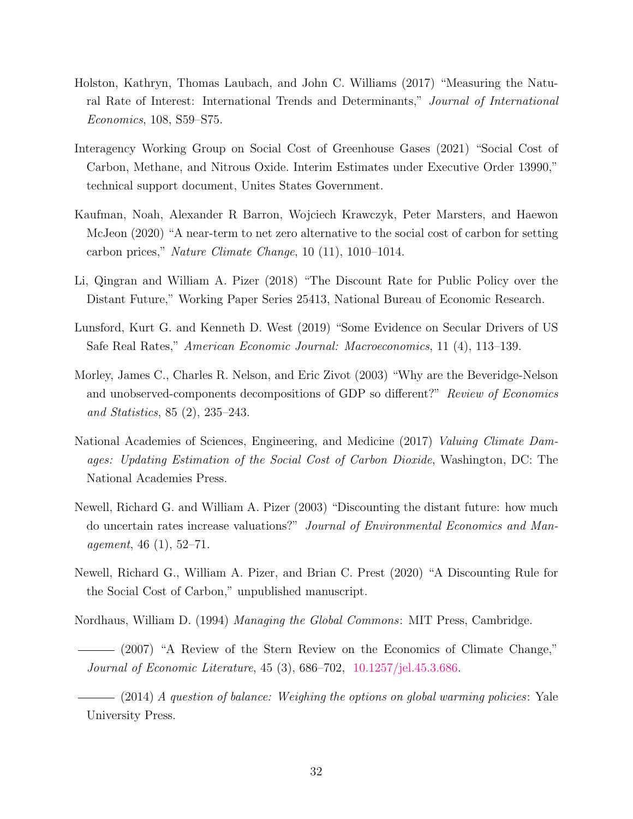- <span id="page-33-1"></span>Holston, Kathryn, Thomas Laubach, and John C. Williams (2017) "Measuring the Natural Rate of Interest: International Trends and Determinants," Journal of International Economics, 108, S59–S75.
- <span id="page-33-7"></span>Interagency Working Group on Social Cost of Greenhouse Gases (2021) "Social Cost of Carbon, Methane, and Nitrous Oxide. Interim Estimates under Executive Order 13990," technical support document, Unites States Government.
- <span id="page-33-9"></span>Kaufman, Noah, Alexander R Barron, Wojciech Krawczyk, Peter Marsters, and Haewon McJeon (2020) "A near-term to net zero alternative to the social cost of carbon for setting carbon prices," Nature Climate Change, 10 (11), 1010–1014.
- <span id="page-33-11"></span>Li, Qingran and William A. Pizer (2018) "The Discount Rate for Public Policy over the Distant Future," Working Paper Series 25413, National Bureau of Economic Research.
- <span id="page-33-2"></span>Lunsford, Kurt G. and Kenneth D. West (2019) "Some Evidence on Secular Drivers of US Safe Real Rates," American Economic Journal: Macroeconomics, 11 (4), 113–139.
- <span id="page-33-3"></span>Morley, James C., Charles R. Nelson, and Eric Zivot (2003) "Why are the Beveridge-Nelson and unobserved-components decompositions of GDP so different?" Review of Economics and Statistics, 85 (2), 235–243.
- <span id="page-33-5"></span>National Academies of Sciences, Engineering, and Medicine (2017) Valuing Climate Damages: Updating Estimation of the Social Cost of Carbon Dioxide, Washington, DC: The National Academies Press.
- <span id="page-33-0"></span>Newell, Richard G. and William A. Pizer (2003) "Discounting the distant future: how much do uncertain rates increase valuations?" Journal of Environmental Economics and Management, 46 (1), 52–71.
- <span id="page-33-4"></span>Newell, Richard G., William A. Pizer, and Brian C. Prest (2020) "A Discounting Rule for the Social Cost of Carbon," unpublished manuscript.
- <span id="page-33-8"></span><span id="page-33-6"></span>Nordhaus, William D. (1994) Managing the Global Commons: MIT Press, Cambridge.
- (2007) "A Review of the Stern Review on the Economics of Climate Change," Journal of Economic Literature, 45 (3), 686–702, [10.1257/jel.45.3.686.](http://dx.doi.org/10.1257/jel.45.3.686)

<span id="page-33-10"></span> $-$  (2014) A question of balance: Weighing the options on global warming policies: Yale University Press.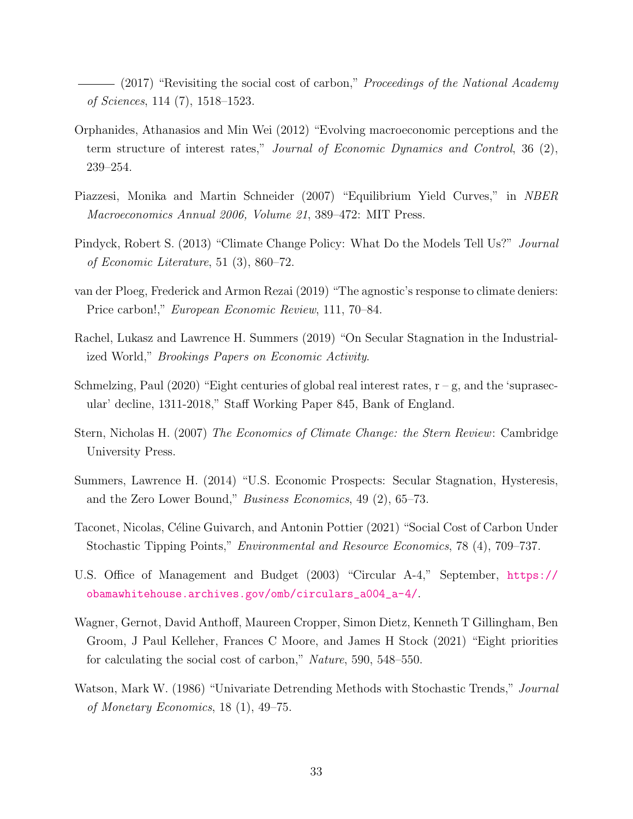<span id="page-34-1"></span> $-$  (2017) "Revisiting the social cost of carbon," *Proceedings of the National Academy* of Sciences, 114 (7), 1518–1523.

- <span id="page-34-6"></span>Orphanides, Athanasios and Min Wei (2012) "Evolving macroeconomic perceptions and the term structure of interest rates," Journal of Economic Dynamics and Control, 36 (2), 239–254.
- <span id="page-34-5"></span>Piazzesi, Monika and Martin Schneider (2007) "Equilibrium Yield Curves," in NBER Macroeconomics Annual 2006, Volume 21, 389–472: MIT Press.
- <span id="page-34-9"></span>Pindyck, Robert S. (2013) "Climate Change Policy: What Do the Models Tell Us?" Journal of Economic Literature, 51 (3), 860–72.
- <span id="page-34-8"></span>van der Ploeg, Frederick and Armon Rezai (2019) "The agnostic's response to climate deniers: Price carbon!," European Economic Review, 111, 70–84.
- <span id="page-34-3"></span>Rachel, Lukasz and Lawrence H. Summers (2019) "On Secular Stagnation in the Industrialized World," Brookings Papers on Economic Activity.
- <span id="page-34-7"></span>Schmelzing, Paul  $(2020)$  "Eight centuries of global real interest rates,  $r - g$ , and the 'suprasecular' decline, 1311-2018," Staff Working Paper 845, Bank of England.
- <span id="page-34-2"></span>Stern, Nicholas H. (2007) The Economics of Climate Change: the Stern Review: Cambridge University Press.
- <span id="page-34-0"></span>Summers, Lawrence H. (2014) "U.S. Economic Prospects: Secular Stagnation, Hysteresis, and the Zero Lower Bound," Business Economics, 49 (2), 65–73.
- <span id="page-34-12"></span>Taconet, Nicolas, Céline Guivarch, and Antonin Pottier (2021) "Social Cost of Carbon Under Stochastic Tipping Points," Environmental and Resource Economics, 78 (4), 709–737.
- <span id="page-34-10"></span>U.S. Office of Management and Budget (2003) "Circular A-4," September, [https://](https://obamawhitehouse.archives.gov/omb/circulars_a004_a-4/) [obamawhitehouse.archives.gov/omb/circulars\\_a004\\_a-4/](https://obamawhitehouse.archives.gov/omb/circulars_a004_a-4/).
- <span id="page-34-11"></span>Wagner, Gernot, David Anthoff, Maureen Cropper, Simon Dietz, Kenneth T Gillingham, Ben Groom, J Paul Kelleher, Frances C Moore, and James H Stock (2021) "Eight priorities for calculating the social cost of carbon," Nature, 590, 548–550.
- <span id="page-34-4"></span>Watson, Mark W. (1986) "Univariate Detrending Methods with Stochastic Trends," Journal of Monetary Economics, 18 (1), 49–75.